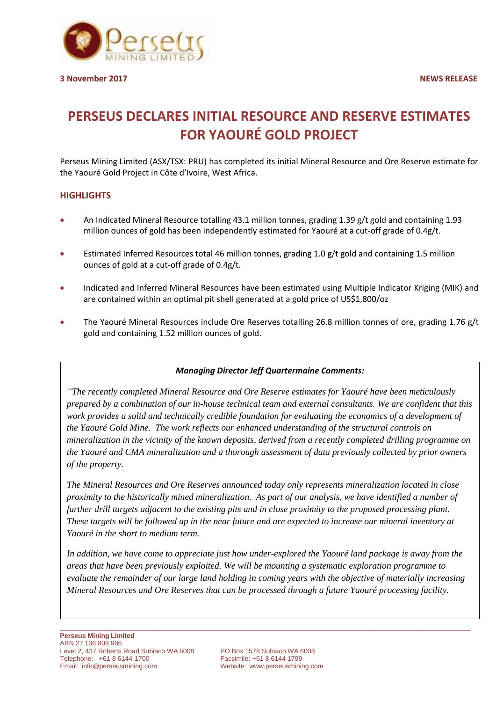

# **PERSEUS DECLARES INITIAL RESOURCE AND RESERVE ESTIMATES FOR YAOURÉ GOLD PROJECT**

Perseus Mining Limited (ASX/TSX: PRU) has completed its initial Mineral Resource and Ore Reserve estimate for the Yaouré Gold Project in Côte d'Ivoire, West Africa.

## **HIGHLIGHTS**

- An Indicated Mineral Resource totalling 43.1 million tonnes, grading 1.39 g/t gold and containing 1.93 million ounces of gold has been independently estimated for Yaouré at a cut-off grade of 0.4g/t.
- Estimated Inferred Resources total 46 million tonnes, grading 1.0 g/t gold and containing 1.5 million ounces of gold at a cut-off grade of 0.4g/t.
- Indicated and Inferred Mineral Resources have been estimated using Multiple Indicator Kriging (MIK) and are contained within an optimal pit shell generated at a gold price of US\$1,800/oz
- The Yaouré Mineral Resources include Ore Reserves totalling 26.8 million tonnes of ore, grading 1.76 g/t gold and containing 1.52 million ounces of gold.

### *Managing Director Jeff Quartermaine Comments:*

*"The recently completed Mineral Resource and Ore Reserve estimates for Yaouré have been meticulously prepared by a combination of our in-house technical team and external consultants. We are confident that this work provides a solid and technically credible foundation for evaluating the economics of a development of the Yaouré Gold Mine. The work reflects our enhanced understanding of the structural controls on mineralization in the vicinity of the known deposits, derived from a recently completed drilling programme on the Yaouré and CMA mineralization and a thorough assessment of data previously collected by prior owners of the property.*

*The Mineral Resources and Ore Reserves announced today only represents mineralization located in close proximity to the historically mined mineralization. As part of our analysis, we have identified a number of further drill targets adjacent to the existing pits and in close proximity to the proposed processing plant. These targets will be followed up in the near future and are expected to increase our mineral inventory at Yaouré in the short to medium term.* 

*In addition, we have come to appreciate just how under-explored the Yaouré land package is away from the areas that have been previously exploited. We will be mounting a systematic exploration programme to evaluate the remainder of our large land holding in coming years with the objective of materially increasing Mineral Resources and Ore Reserves that can be processed through a future Yaouré processing facility.*

Website: [www.perseusmining.com](http://www.perseusmining.com/)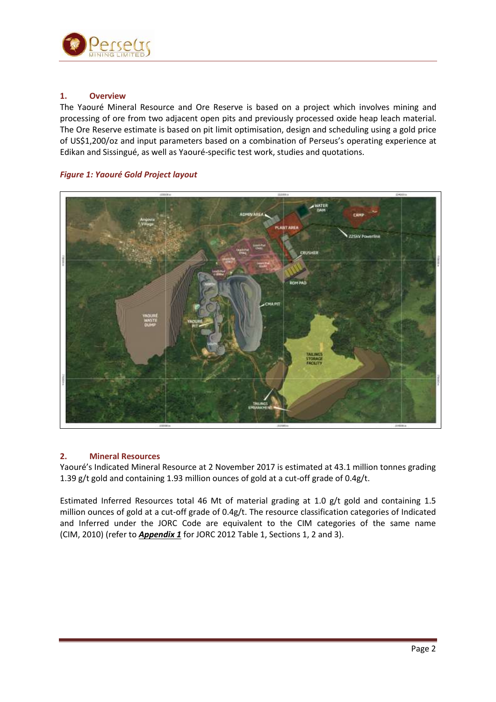

### **1. Overview**

The Yaouré Mineral Resource and Ore Reserve is based on a project which involves mining and processing of ore from two adjacent open pits and previously processed oxide heap leach material. The Ore Reserve estimate is based on pit limit optimisation, design and scheduling using a gold price of US\$1,200/oz and input parameters based on a combination of Perseus's operating experience at Edikan and Sissingué, as well as Yaouré-specific test work, studies and quotations.

### *Figure 1: Yaouré Gold Project layout*



### **2. Mineral Resources**

Yaouré's Indicated Mineral Resource at 2 November 2017 is estimated at 43.1 million tonnes grading 1.39 g/t gold and containing 1.93 million ounces of gold at a cut-off grade of 0.4g/t.

Estimated Inferred Resources total 46 Mt of material grading at 1.0 g/t gold and containing 1.5 million ounces of gold at a cut-off grade of 0.4g/t. The resource classification categories of Indicated and Inferred under the JORC Code are equivalent to the CIM categories of the same name (CIM, 2010) (refer to *Appendix 1* for JORC 2012 Table 1, Sections 1, 2 and 3).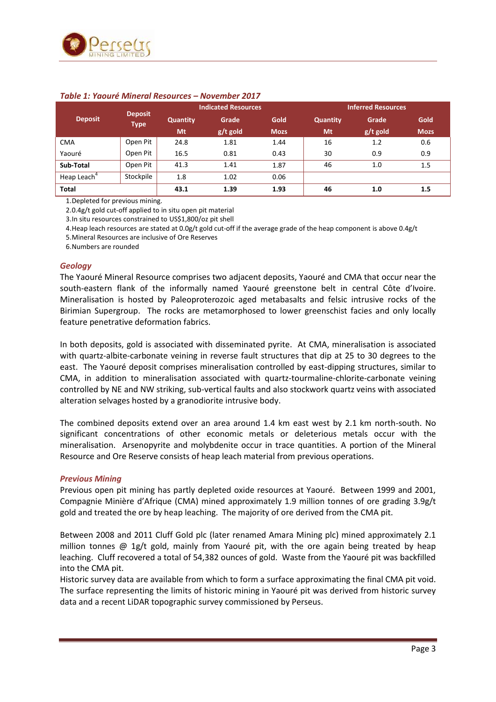

|                         |                               | <b>Indicated Resources</b> |          |             | <b>Inferred Resources</b> |          |             |
|-------------------------|-------------------------------|----------------------------|----------|-------------|---------------------------|----------|-------------|
| <b>Deposit</b>          | <b>Deposit</b><br><b>Type</b> | <b>Quantity</b>            | Grade    | Gold        | <b>Quantity</b>           | Grade    | Gold        |
|                         |                               | Mt                         | g/t gold | <b>Mozs</b> | Mt                        | g/t gold | <b>Mozs</b> |
| <b>CMA</b>              | Open Pit                      | 24.8                       | 1.81     | 1.44        | 16                        | 1.2      | 0.6         |
| Yaouré                  | Open Pit                      | 16.5                       | 0.81     | 0.43        | 30                        | 0.9      | 0.9         |
| Sub-Total               | Open Pit                      | 41.3                       | 1.41     | 1.87        | 46                        | 1.0      | 1.5         |
| Heap Leach <sup>4</sup> | Stockpile                     | 1.8                        | 1.02     | 0.06        |                           |          |             |
| <b>Total</b>            |                               | 43.1                       | 1.39     | 1.93        | 46                        | 1.0      | 1.5         |

### *Table 1: Yaouré Mineral Resources – November 2017*

1.Depleted for previous mining.

2.0.4g/t gold cut-off applied to in situ open pit material

3.In situ resources constrained to US\$1,800/oz pit shell

4. Heap leach resources are stated at 0.0g/t gold cut-off if the average grade of the heap component is above 0.4g/t

5.Mineral Resources are inclusive of Ore Reserves

6.Numbers are rounded

#### *Geology*

The Yaouré Mineral Resource comprises two adjacent deposits, Yaouré and CMA that occur near the south-eastern flank of the informally named Yaouré greenstone belt in central Côte d'Ivoire. Mineralisation is hosted by Paleoproterozoic aged metabasalts and felsic intrusive rocks of the Birimian Supergroup. The rocks are metamorphosed to lower greenschist facies and only locally feature penetrative deformation fabrics.

In both deposits, gold is associated with disseminated pyrite. At CMA, mineralisation is associated with quartz-albite-carbonate veining in reverse fault structures that dip at 25 to 30 degrees to the east. The Yaouré deposit comprises mineralisation controlled by east-dipping structures, similar to CMA, in addition to mineralisation associated with quartz-tourmaline-chlorite-carbonate veining controlled by NE and NW striking, sub-vertical faults and also stockwork quartz veins with associated alteration selvages hosted by a granodiorite intrusive body.

The combined deposits extend over an area around 1.4 km east west by 2.1 km north-south. No significant concentrations of other economic metals or deleterious metals occur with the mineralisation. Arsenopyrite and molybdenite occur in trace quantities. A portion of the Mineral Resource and Ore Reserve consists of heap leach material from previous operations.

#### *Previous Mining*

Previous open pit mining has partly depleted oxide resources at Yaouré. Between 1999 and 2001, Compagnie Minière d'Afrique (CMA) mined approximately 1.9 million tonnes of ore grading 3.9g/t gold and treated the ore by heap leaching. The majority of ore derived from the CMA pit.

Between 2008 and 2011 Cluff Gold plc (later renamed Amara Mining plc) mined approximately 2.1 million tonnes @ 1g/t gold, mainly from Yaouré pit, with the ore again being treated by heap leaching. Cluff recovered a total of 54,382 ounces of gold. Waste from the Yaouré pit was backfilled into the CMA pit.

Historic survey data are available from which to form a surface approximating the final CMA pit void. The surface representing the limits of historic mining in Yaouré pit was derived from historic survey data and a recent LiDAR topographic survey commissioned by Perseus.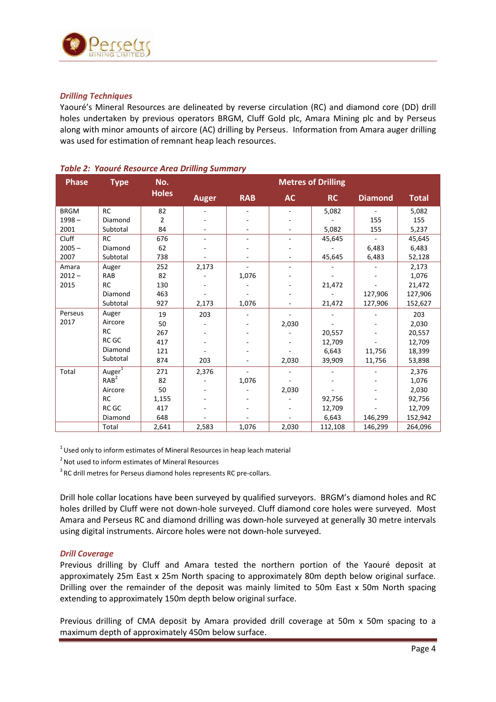

### *Drilling Techniques*

Yaouré's Mineral Resources are delineated by reverse circulation (RC) and diamond core (DD) drill holes undertaken by previous operators BRGM, Cluff Gold plc, Amara Mining plc and by Perseus along with minor amounts of aircore (AC) drilling by Perseus. Information from Amara auger drilling was used for estimation of remnant heap leach resources.

| <b>Phase</b> | <b>Type</b>        | No.            | <b>Metres of Drilling</b> |            |                          |           |                          |              |  |
|--------------|--------------------|----------------|---------------------------|------------|--------------------------|-----------|--------------------------|--------------|--|
|              |                    | <b>Holes</b>   | <b>Auger</b>              | <b>RAB</b> | <b>AC</b>                | <b>RC</b> | <b>Diamond</b>           | <b>Total</b> |  |
| <b>BRGM</b>  | <b>RC</b>          | 82             |                           |            |                          | 5,082     | $\overline{\phantom{a}}$ | 5,082        |  |
| $1998 -$     | Diamond            | $\overline{2}$ |                           |            |                          |           | 155                      | 155          |  |
| 2001         | Subtotal           | 84             |                           |            |                          | 5,082     | 155                      | 5,237        |  |
| Cluff        | <b>RC</b>          | 676            | ä,                        | ÷.         | ä,                       | 45,645    | $\overline{\phantom{a}}$ | 45,645       |  |
| $2005 -$     | Diamond            | 62             |                           |            |                          |           | 6,483                    | 6,483        |  |
| 2007         | Subtotal           | 738            |                           |            |                          | 45,645    | 6,483                    | 52,128       |  |
| Amara        | Auger              | 252            | 2,173                     |            | $\overline{\phantom{a}}$ |           |                          | 2,173        |  |
| $2012 -$     | RAB                | 82             |                           | 1,076      |                          |           |                          | 1,076        |  |
| 2015         | <b>RC</b>          | 130            |                           |            |                          | 21,472    |                          | 21,472       |  |
|              | Diamond            | 463            |                           |            |                          |           | 127,906                  | 127,906      |  |
|              | Subtotal           | 927            | 2,173                     | 1,076      |                          | 21,472    | 127,906                  | 152,627      |  |
| Perseus      | Auger              | 19             | 203                       |            |                          |           |                          | 203          |  |
| 2017         | Aircore            | 50             |                           |            | 2,030                    |           |                          | 2,030        |  |
|              | <b>RC</b>          | 267            |                           |            |                          | 20,557    |                          | 20,557       |  |
|              | RC GC              | 417            |                           |            |                          | 12,709    |                          | 12,709       |  |
|              | Diamond            | 121            |                           |            |                          | 6,643     | 11,756                   | 18,399       |  |
|              | Subtotal           | 874            | 203                       |            | 2,030                    | 39,909    | 11,756                   | 53,898       |  |
| Total        | Auger <sup>1</sup> | 271            | 2,376                     |            |                          |           |                          | 2,376        |  |
|              | RAB <sup>2</sup>   | 82             |                           | 1,076      |                          |           |                          | 1,076        |  |
|              | Aircore            | 50             |                           |            | 2,030                    |           |                          | 2,030        |  |
|              | <b>RC</b>          | 1,155          |                           |            |                          | 92,756    |                          | 92,756       |  |
|              | RC GC              | 417            |                           |            |                          | 12,709    |                          | 12,709       |  |
|              | Diamond            | 648            |                           |            |                          | 6,643     | 146,299                  | 152,942      |  |
|              | Total              | 2,641          | 2,583                     | 1,076      | 2,030                    | 112,108   | 146,299                  | 264,096      |  |

### *Table 2: Yaouré Resource Area Drilling Summary*

 $1$ Used only to inform estimates of Mineral Resources in heap leach material

<sup>2</sup> Not used to inform estimates of Mineral Resources

 $3$  RC drill metres for Perseus diamond holes represents RC pre-collars.

Drill hole collar locations have been surveyed by qualified surveyors. BRGM's diamond holes and RC holes drilled by Cluff were not down-hole surveyed. Cluff diamond core holes were surveyed. Most Amara and Perseus RC and diamond drilling was down-hole surveyed at generally 30 metre intervals using digital instruments. Aircore holes were not down-hole surveyed.

### *Drill Coverage*

Previous drilling by Cluff and Amara tested the northern portion of the Yaouré deposit at approximately 25m East x 25m North spacing to approximately 80m depth below original surface. Drilling over the remainder of the deposit was mainly limited to 50m East x 50m North spacing extending to approximately 150m depth below original surface.

Previous drilling of CMA deposit by Amara provided drill coverage at 50m x 50m spacing to a maximum depth of approximately 450m below surface.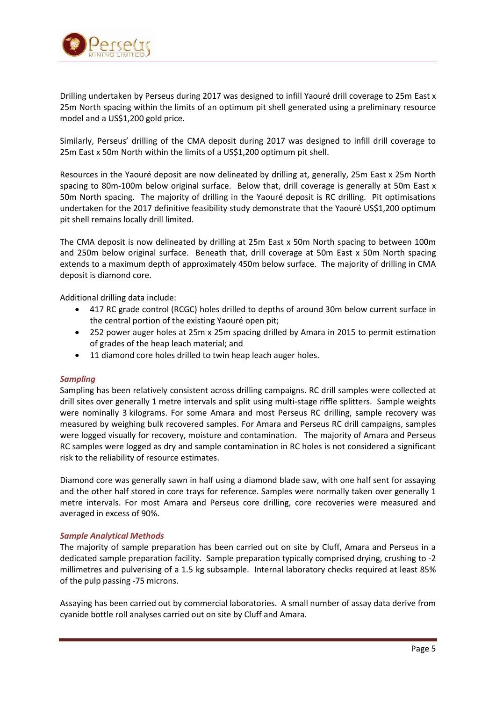

Drilling undertaken by Perseus during 2017 was designed to infill Yaouré drill coverage to 25m East x 25m North spacing within the limits of an optimum pit shell generated using a preliminary resource model and a US\$1,200 gold price.

Similarly, Perseus' drilling of the CMA deposit during 2017 was designed to infill drill coverage to 25m East x 50m North within the limits of a US\$1,200 optimum pit shell.

Resources in the Yaouré deposit are now delineated by drilling at, generally, 25m East x 25m North spacing to 80m-100m below original surface. Below that, drill coverage is generally at 50m East x 50m North spacing. The majority of drilling in the Yaouré deposit is RC drilling. Pit optimisations undertaken for the 2017 definitive feasibility study demonstrate that the Yaouré US\$1,200 optimum pit shell remains locally drill limited.

The CMA deposit is now delineated by drilling at 25m East x 50m North spacing to between 100m and 250m below original surface. Beneath that, drill coverage at 50m East x 50m North spacing extends to a maximum depth of approximately 450m below surface. The majority of drilling in CMA deposit is diamond core.

Additional drilling data include:

- 417 RC grade control (RCGC) holes drilled to depths of around 30m below current surface in the central portion of the existing Yaouré open pit;
- 252 power auger holes at 25m x 25m spacing drilled by Amara in 2015 to permit estimation of grades of the heap leach material; and
- 11 diamond core holes drilled to twin heap leach auger holes.

#### *Sampling*

Sampling has been relatively consistent across drilling campaigns. RC drill samples were collected at drill sites over generally 1 metre intervals and split using multi-stage riffle splitters. Sample weights were nominally 3 kilograms. For some Amara and most Perseus RC drilling, sample recovery was measured by weighing bulk recovered samples. For Amara and Perseus RC drill campaigns, samples were logged visually for recovery, moisture and contamination. The majority of Amara and Perseus RC samples were logged as dry and sample contamination in RC holes is not considered a significant risk to the reliability of resource estimates.

Diamond core was generally sawn in half using a diamond blade saw, with one half sent for assaying and the other half stored in core trays for reference. Samples were normally taken over generally 1 metre intervals. For most Amara and Perseus core drilling, core recoveries were measured and averaged in excess of 90%.

#### *Sample Analytical Methods*

The majority of sample preparation has been carried out on site by Cluff, Amara and Perseus in a dedicated sample preparation facility. Sample preparation typically comprised drying, crushing to -2 millimetres and pulverising of a 1.5 kg subsample. Internal laboratory checks required at least 85% of the pulp passing -75 microns.

Assaying has been carried out by commercial laboratories. A small number of assay data derive from cyanide bottle roll analyses carried out on site by Cluff and Amara.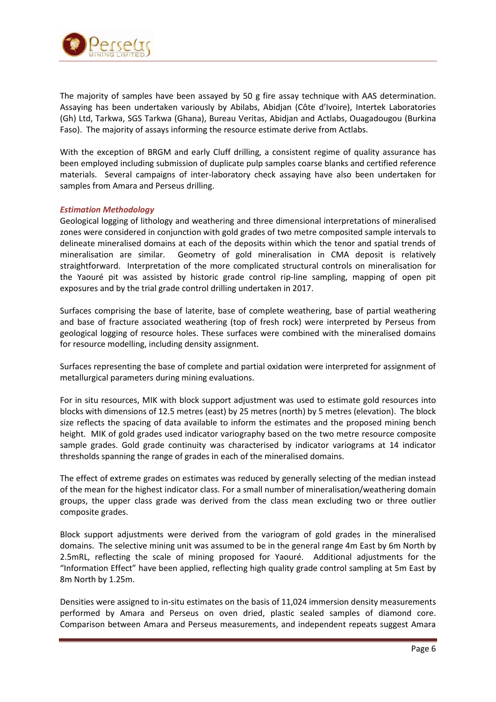

The majority of samples have been assayed by 50 g fire assay technique with AAS determination. Assaying has been undertaken variously by Abilabs, Abidjan (Côte d'Ivoire), Intertek Laboratories (Gh) Ltd, Tarkwa, SGS Tarkwa (Ghana), Bureau Veritas, Abidjan and Actlabs, Ouagadougou (Burkina Faso). The majority of assays informing the resource estimate derive from Actlabs.

With the exception of BRGM and early Cluff drilling, a consistent regime of quality assurance has been employed including submission of duplicate pulp samples coarse blanks and certified reference materials. Several campaigns of inter-laboratory check assaying have also been undertaken for samples from Amara and Perseus drilling.

### *Estimation Methodology*

Geological logging of lithology and weathering and three dimensional interpretations of mineralised zones were considered in conjunction with gold grades of two metre composited sample intervals to delineate mineralised domains at each of the deposits within which the tenor and spatial trends of mineralisation are similar. Geometry of gold mineralisation in CMA deposit is relatively straightforward. Interpretation of the more complicated structural controls on mineralisation for the Yaouré pit was assisted by historic grade control rip-line sampling, mapping of open pit exposures and by the trial grade control drilling undertaken in 2017.

Surfaces comprising the base of laterite, base of complete weathering, base of partial weathering and base of fracture associated weathering (top of fresh rock) were interpreted by Perseus from geological logging of resource holes. These surfaces were combined with the mineralised domains for resource modelling, including density assignment.

Surfaces representing the base of complete and partial oxidation were interpreted for assignment of metallurgical parameters during mining evaluations.

For in situ resources, MIK with block support adjustment was used to estimate gold resources into blocks with dimensions of 12.5 metres (east) by 25 metres (north) by 5 metres (elevation). The block size reflects the spacing of data available to inform the estimates and the proposed mining bench height. MIK of gold grades used indicator variography based on the two metre resource composite sample grades. Gold grade continuity was characterised by indicator variograms at 14 indicator thresholds spanning the range of grades in each of the mineralised domains.

The effect of extreme grades on estimates was reduced by generally selecting of the median instead of the mean for the highest indicator class. For a small number of mineralisation/weathering domain groups, the upper class grade was derived from the class mean excluding two or three outlier composite grades.

Block support adjustments were derived from the variogram of gold grades in the mineralised domains. The selective mining unit was assumed to be in the general range 4m East by 6m North by 2.5mRL, reflecting the scale of mining proposed for Yaouré. Additional adjustments for the "Information Effect" have been applied, reflecting high quality grade control sampling at 5m East by 8m North by 1.25m.

Densities were assigned to in-situ estimates on the basis of 11,024 immersion density measurements performed by Amara and Perseus on oven dried, plastic sealed samples of diamond core. Comparison between Amara and Perseus measurements, and independent repeats suggest Amara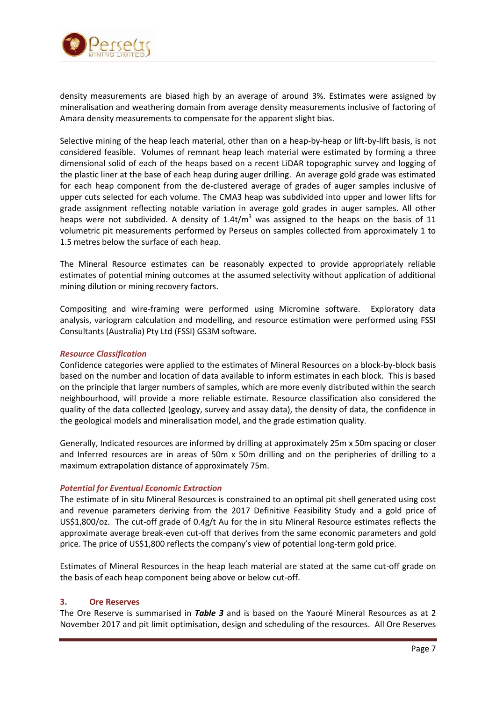

density measurements are biased high by an average of around 3%. Estimates were assigned by mineralisation and weathering domain from average density measurements inclusive of factoring of Amara density measurements to compensate for the apparent slight bias.

Selective mining of the heap leach material, other than on a heap-by-heap or lift-by-lift basis, is not considered feasible. Volumes of remnant heap leach material were estimated by forming a three dimensional solid of each of the heaps based on a recent LiDAR topographic survey and logging of the plastic liner at the base of each heap during auger drilling. An average gold grade was estimated for each heap component from the de-clustered average of grades of auger samples inclusive of upper cuts selected for each volume. The CMA3 heap was subdivided into upper and lower lifts for grade assignment reflecting notable variation in average gold grades in auger samples. All other heaps were not subdivided. A density of  $1.4t/m<sup>3</sup>$  was assigned to the heaps on the basis of 11 volumetric pit measurements performed by Perseus on samples collected from approximately 1 to 1.5 metres below the surface of each heap.

The Mineral Resource estimates can be reasonably expected to provide appropriately reliable estimates of potential mining outcomes at the assumed selectivity without application of additional mining dilution or mining recovery factors.

Compositing and wire-framing were performed using Micromine software. Exploratory data analysis, variogram calculation and modelling, and resource estimation were performed using FSSI Consultants (Australia) Pty Ltd (FSSI) GS3M software.

### *Resource Classification*

Confidence categories were applied to the estimates of Mineral Resources on a block-by-block basis based on the number and location of data available to inform estimates in each block. This is based on the principle that larger numbers of samples, which are more evenly distributed within the search neighbourhood, will provide a more reliable estimate. Resource classification also considered the quality of the data collected (geology, survey and assay data), the density of data, the confidence in the geological models and mineralisation model, and the grade estimation quality.

Generally, Indicated resources are informed by drilling at approximately 25m x 50m spacing or closer and Inferred resources are in areas of 50m x 50m drilling and on the peripheries of drilling to a maximum extrapolation distance of approximately 75m.

### *Potential for Eventual Economic Extraction*

The estimate of in situ Mineral Resources is constrained to an optimal pit shell generated using cost and revenue parameters deriving from the 2017 Definitive Feasibility Study and a gold price of US\$1,800/oz. The cut-off grade of 0.4g/t Au for the in situ Mineral Resource estimates reflects the approximate average break-even cut-off that derives from the same economic parameters and gold price. The price of US\$1,800 reflects the company's view of potential long-term gold price.

Estimates of Mineral Resources in the heap leach material are stated at the same cut-off grade on the basis of each heap component being above or below cut-off.

### **3. Ore Reserves**

The Ore Reserve is summarised in *Table 3* and is based on the Yaouré Mineral Resources as at 2 November 2017 and pit limit optimisation, design and scheduling of the resources. All Ore Reserves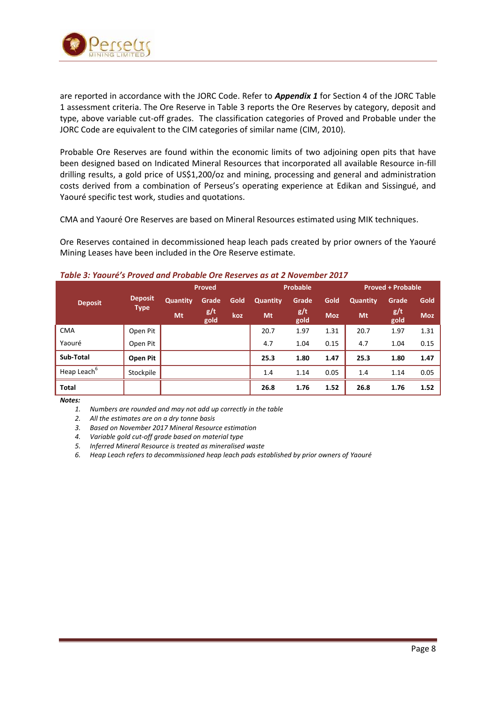

are reported in accordance with the JORC Code. Refer to *Appendix 1* for Section 4 of the JORC Table 1 assessment criteria. The Ore Reserve in Table 3 reports the Ore Reserves by category, deposit and type, above variable cut-off grades. The classification categories of Proved and Probable under the JORC Code are equivalent to the CIM categories of similar name (CIM, 2010).

Probable Ore Reserves are found within the economic limits of two adjoining open pits that have been designed based on Indicated Mineral Resources that incorporated all available Resource in-fill drilling results, a gold price of US\$1,200/oz and mining, processing and general and administration costs derived from a combination of Perseus's operating experience at Edikan and Sissingué, and Yaouré specific test work, studies and quotations.

CMA and Yaouré Ore Reserves are based on Mineral Resources estimated using MIK techniques.

Ore Reserves contained in decommissioned heap leach pads created by prior owners of the Yaouré Mining Leases have been included in the Ore Reserve estimate.

|                         | Proved                        |                 |             | Probable |                 |             | <b>Proved + Probable</b> |          |             |            |
|-------------------------|-------------------------------|-----------------|-------------|----------|-----------------|-------------|--------------------------|----------|-------------|------------|
| <b>Deposit</b>          | <b>Deposit</b><br><b>Type</b> | <b>Quantity</b> | Grade       | Gold     | <b>Quantity</b> | Grade       | Gold                     | Quantity | Grade       | Gold       |
|                         |                               | Mt              | g/t<br>gold | koz      | Mt              | g/t<br>gold | <b>Moz</b>               | Mt       | g/t<br>gold | <b>Moz</b> |
| <b>CMA</b>              | Open Pit                      |                 |             |          | 20.7            | 1.97        | 1.31                     | 20.7     | 1.97        | 1.31       |
| Yaouré                  | Open Pit                      |                 |             |          | 4.7             | 1.04        | 0.15                     | 4.7      | 1.04        | 0.15       |
| Sub-Total               | Open Pit                      |                 |             |          | 25.3            | 1.80        | 1.47                     | 25.3     | 1.80        | 1.47       |
| Heap Leach <sup>6</sup> | Stockpile                     |                 |             |          | 1.4             | 1.14        | 0.05                     | 1.4      | 1.14        | 0.05       |
| <b>Total</b>            |                               |                 |             |          | 26.8            | 1.76        | 1.52                     | 26.8     | 1.76        | 1.52       |

### *Table 3: Yaouré's Proved and Probable Ore Reserves as at 2 November 2017*

*Notes:*

*1. Numbers are rounded and may not add up correctly in the table*

*2. All the estimates are on a dry tonne basis*

*3. Based on November 2017 Mineral Resource estimation*

*4. Variable gold cut-off grade based on material type*

*5. Inferred Mineral Resource is treated as mineralised waste*

*6. Heap Leach refers to decommissioned heap leach pads established by prior owners of Yaouré*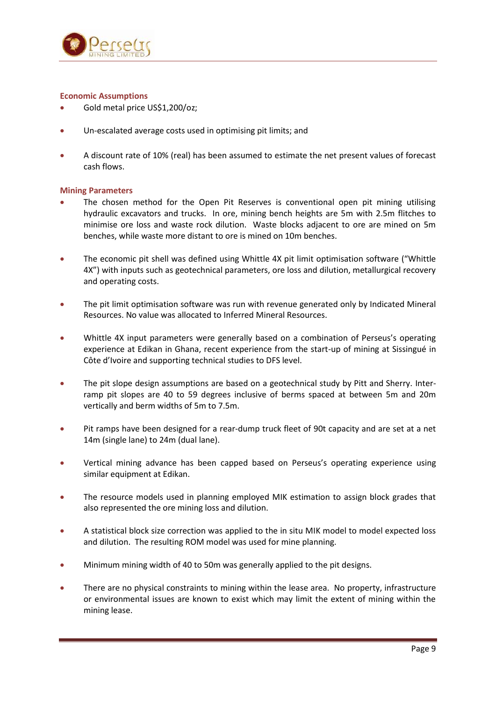

### **Economic Assumptions**

- Gold metal price US\$1,200/oz;
- Un-escalated average costs used in optimising pit limits; and
- A discount rate of 10% (real) has been assumed to estimate the net present values of forecast cash flows.

### **Mining Parameters**

- The chosen method for the Open Pit Reserves is conventional open pit mining utilising hydraulic excavators and trucks. In ore, mining bench heights are 5m with 2.5m flitches to minimise ore loss and waste rock dilution. Waste blocks adjacent to ore are mined on 5m benches, while waste more distant to ore is mined on 10m benches.
- The economic pit shell was defined using Whittle 4X pit limit optimisation software ("Whittle 4X") with inputs such as geotechnical parameters, ore loss and dilution, metallurgical recovery and operating costs.
- The pit limit optimisation software was run with revenue generated only by Indicated Mineral Resources. No value was allocated to Inferred Mineral Resources.
- Whittle 4X input parameters were generally based on a combination of Perseus's operating experience at Edikan in Ghana, recent experience from the start-up of mining at Sissingué in Côte d'Ivoire and supporting technical studies to DFS level.
- The pit slope design assumptions are based on a geotechnical study by Pitt and Sherry. Interramp pit slopes are 40 to 59 degrees inclusive of berms spaced at between 5m and 20m vertically and berm widths of 5m to 7.5m.
- Pit ramps have been designed for a rear-dump truck fleet of 90t capacity and are set at a net 14m (single lane) to 24m (dual lane).
- Vertical mining advance has been capped based on Perseus's operating experience using similar equipment at Edikan.
- The resource models used in planning employed MIK estimation to assign block grades that also represented the ore mining loss and dilution.
- A statistical block size correction was applied to the in situ MIK model to model expected loss and dilution. The resulting ROM model was used for mine planning.
- Minimum mining width of 40 to 50m was generally applied to the pit designs.
- There are no physical constraints to mining within the lease area. No property, infrastructure or environmental issues are known to exist which may limit the extent of mining within the mining lease.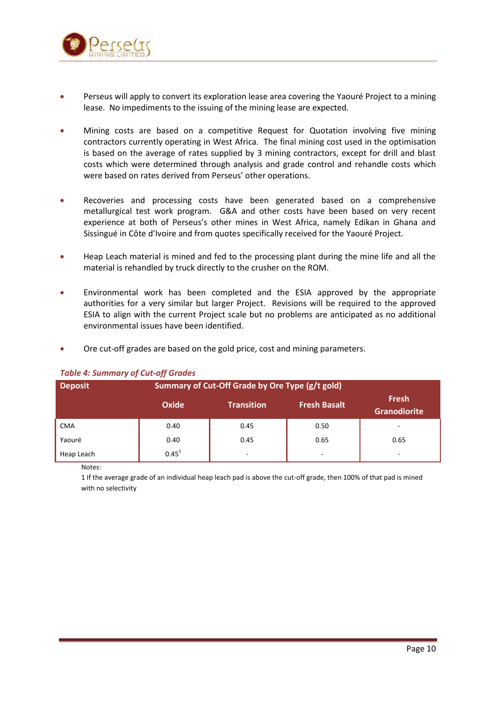

- Perseus will apply to convert its exploration lease area covering the Yaouré Project to a mining lease. No impediments to the issuing of the mining lease are expected.
- Mining costs are based on a competitive Request for Quotation involving five mining contractors currently operating in West Africa. The final mining cost used in the optimisation is based on the average of rates supplied by 3 mining contractors, except for drill and blast costs which were determined through analysis and grade control and rehandle costs which were based on rates derived from Perseus' other operations.
- Recoveries and processing costs have been generated based on a comprehensive metallurgical test work program. G&A and other costs have been based on very recent experience at both of Perseus's other mines in West Africa, namely Edikan in Ghana and Sissingué in Côte d'Ivoire and from quotes specifically received for the Yaouré Project.
- Heap Leach material is mined and fed to the processing plant during the mine life and all the material is rehandled by truck directly to the crusher on the ROM.
- Environmental work has been completed and the ESIA approved by the appropriate authorities for a very similar but larger Project. Revisions will be required to the approved ESIA to align with the current Project scale but no problems are anticipated as no additional environmental issues have been identified.
- Ore cut-off grades are based on the gold price, cost and mining parameters.

| <b>Deposit</b> | Summary of Cut-Off Grade by Ore Type (g/t gold) |                   |                                     |      |  |
|----------------|-------------------------------------------------|-------------------|-------------------------------------|------|--|
|                | <b>Oxide</b>                                    | <b>Transition</b> | <b>Fresh</b><br><b>Granodiorite</b> |      |  |
| <b>CMA</b>     | 0.40                                            | 0.45              | 0.50                                | -    |  |
| Yaouré         | 0.40                                            | 0.45              | 0.65                                | 0.65 |  |
| Heap Leach     | $0.45^{1}$                                      | -                 | $\overline{\phantom{a}}$            | ۰    |  |

### *Table 4: Summary of Cut-off Grades*

Notes:

1 If the average grade of an individual heap leach pad is above the cut-off grade, then 100% of that pad is mined with no selectivity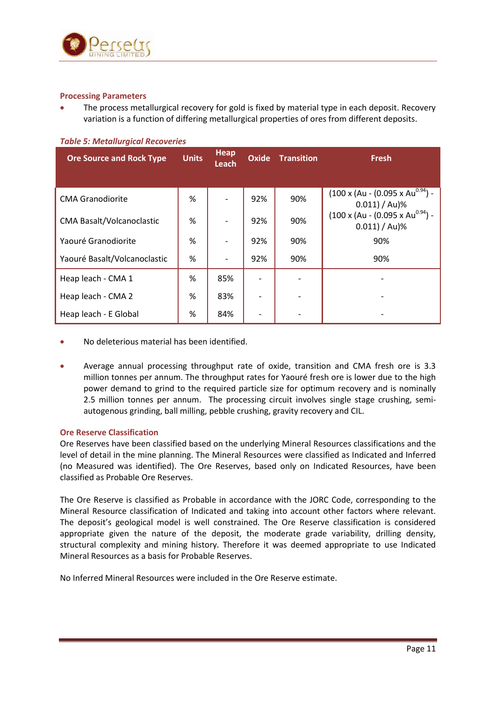

### **Processing Parameters**

 The process metallurgical recovery for gold is fixed by material type in each deposit. Recovery variation is a function of differing metallurgical properties of ores from different deposits.

| <b>Ore Source and Rock Type</b>  | <b>Units</b> | Heap<br><b>Leach</b> | <b>Oxide</b> | <b>Transition</b> | <b>Fresh</b>                                                              |
|----------------------------------|--------------|----------------------|--------------|-------------------|---------------------------------------------------------------------------|
| <b>CMA Granodiorite</b>          | %            |                      | 92%          | 90%               | $(100 \times (Au - (0.095 \times Au^{0.94})) -$<br>$0.011) / \text{Au}$ % |
| <b>CMA Basalt/Volcanoclastic</b> | %            |                      | 92%          | 90%               | $(100 \times (Au - (0.095 \times Au^{0.94})) -$<br>$0.011$ ) / Au)%       |
| Yaouré Granodiorite              | %            |                      | 92%          | 90%               | 90%                                                                       |
| Yaouré Basalt/Volcanoclastic     | %            |                      | 92%          | 90%               | 90%                                                                       |
| Heap leach - CMA 1               | %            | 85%                  |              |                   |                                                                           |
| Heap leach - CMA 2               | %            | 83%                  |              |                   |                                                                           |
| Heap leach - E Global            | %            | 84%                  |              |                   |                                                                           |

### *Table 5: Metallurgical Recoveries*

- No deleterious material has been identified.
- Average annual processing throughput rate of oxide, transition and CMA fresh ore is 3.3 million tonnes per annum. The throughput rates for Yaouré fresh ore is lower due to the high power demand to grind to the required particle size for optimum recovery and is nominally 2.5 million tonnes per annum. The processing circuit involves single stage crushing, semiautogenous grinding, ball milling, pebble crushing, gravity recovery and CIL.

### **Ore Reserve Classification**

Ore Reserves have been classified based on the underlying Mineral Resources classifications and the level of detail in the mine planning. The Mineral Resources were classified as Indicated and Inferred (no Measured was identified). The Ore Reserves, based only on Indicated Resources, have been classified as Probable Ore Reserves.

The Ore Reserve is classified as Probable in accordance with the JORC Code, corresponding to the Mineral Resource classification of Indicated and taking into account other factors where relevant. The deposit's geological model is well constrained. The Ore Reserve classification is considered appropriate given the nature of the deposit, the moderate grade variability, drilling density, structural complexity and mining history. Therefore it was deemed appropriate to use Indicated Mineral Resources as a basis for Probable Reserves.

No Inferred Mineral Resources were included in the Ore Reserve estimate.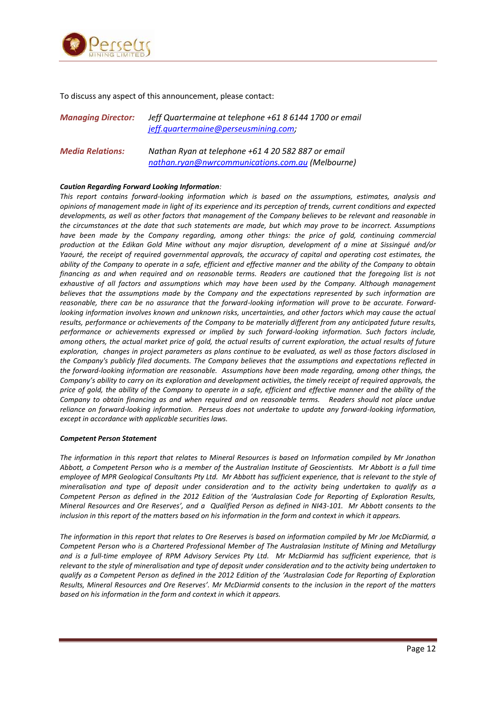

To discuss any aspect of this announcement, please contact:

| <b>Managing Director:</b> | Jeff Quartermaine at telephone +61 8 6144 1700 or email |
|---------------------------|---------------------------------------------------------|
|                           | jeff.quartermaine@perseusmining.com;                    |
|                           |                                                         |

*Media Relations: Nathan Ryan at telephone +61 4 20 582 887 or email [nathan.ryan@nwrcommunications.com.au](mailto:nathan.ryan@nwrcommunications.com) (Melbourne)*

#### *Caution Regarding Forward Looking Information:*

*This report contains forward-looking information which is based on the assumptions, estimates, analysis and opinions of management made in light of its experience and its perception of trends, current conditions and expected developments, as well as other factors that management of the Company believes to be relevant and reasonable in the circumstances at the date that such statements are made, but which may prove to be incorrect. Assumptions*  have been made by the Company regarding, among other things: the price of gold, continuing commercial *production at the Edikan Gold Mine without any major disruption, development of a mine at Sissingué and/or Yaouré, the receipt of required governmental approvals, the accuracy of capital and operating cost estimates, the ability of the Company to operate in a safe, efficient and effective manner and the ability of the Company to obtain financing as and when required and on reasonable terms. Readers are cautioned that the foregoing list is not exhaustive of all factors and assumptions which may have been used by the Company. Although management believes that the assumptions made by the Company and the expectations represented by such information are reasonable, there can be no assurance that the forward-looking information will prove to be accurate. Forwardlooking information involves known and unknown risks, uncertainties, and other factors which may cause the actual results, performance or achievements of the Company to be materially different from any anticipated future results, performance or achievements expressed or implied by such forward-looking information. Such factors include, among others, the actual market price of gold, the actual results of current exploration, the actual results of future exploration, changes in project parameters as plans continue to be evaluated, as well as those factors disclosed in the Company's publicly filed documents. The Company believes that the assumptions and expectations reflected in the forward-looking information are reasonable. Assumptions have been made regarding, among other things, the Company's ability to carry on its exploration and development activities, the timely receipt of required approvals, the price of gold, the ability of the Company to operate in a safe, efficient and effective manner and the ability of the Company to obtain financing as and when required and on reasonable terms. Readers should not place undue reliance on forward-looking information. Perseus does not undertake to update any forward-looking information, except in accordance with applicable securities laws.*

#### *Competent Person Statement*

*The information in this report that relates to Mineral Resources is based on Information compiled by Mr Jonathon Abbott, a Competent Person who is a member of the Australian Institute of Geoscientists. Mr Abbott is a full time employee of MPR Geological Consultants Pty Ltd. Mr Abbott has sufficient experience, that is relevant to the style of mineralisation and type of deposit under consideration and to the activity being undertaken to qualify as a Competent Person as defined in the 2012 Edition of the 'Australasian Code for Reporting of Exploration Results, Mineral Resources and Ore Reserves', and a Qualified Person as defined in NI43-101. Mr Abbott consents to the inclusion in this report of the matters based on his information in the form and context in which it appears.* 

*The information in this report that relates to Ore Reserves is based on information compiled by Mr Joe McDiarmid, a Competent Person who is a Chartered Professional Member of The Australasian Institute of Mining and Metallurgy and is a full-time employee of RPM Advisory Services Pty Ltd. Mr McDiarmid has sufficient experience, that is relevant to the style of mineralisation and type of deposit under consideration and to the activity being undertaken to qualify as a Competent Person as defined in the 2012 Edition of the 'Australasian Code for Reporting of Exploration Results, Mineral Resources and Ore Reserves'. Mr McDiarmid consents to the inclusion in the report of the matters based on his information in the form and context in which it appears.*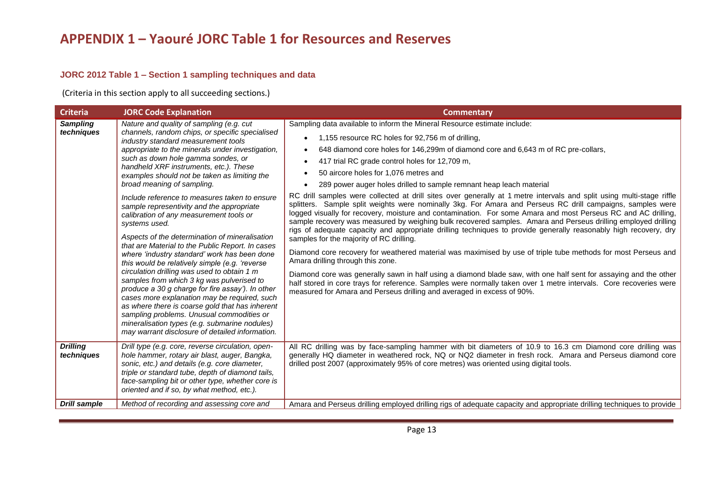## **JORC 2012 Table 1 – Section 1 sampling techniques and data**

(Criteria in this section apply to all succeeding sections.)

| <b>Criteria</b>               | <b>JORC Code Explanation</b>                                                                                                                                                                                                                                                                                                                                                                                                                                                                                                                                                                                                                                                                                                                                                                                                                                                                                                                                                                                                                                                                                               | <b>Commentary</b>                                                                                                                                                                                                                                                                                                                                                                                                                                                                                                                                                                                                                                                                                                                                                                                                                                                                                                                                                                                                                                                                                                                                                                                                                                                                                                                                                                                                                                                                                       |
|-------------------------------|----------------------------------------------------------------------------------------------------------------------------------------------------------------------------------------------------------------------------------------------------------------------------------------------------------------------------------------------------------------------------------------------------------------------------------------------------------------------------------------------------------------------------------------------------------------------------------------------------------------------------------------------------------------------------------------------------------------------------------------------------------------------------------------------------------------------------------------------------------------------------------------------------------------------------------------------------------------------------------------------------------------------------------------------------------------------------------------------------------------------------|---------------------------------------------------------------------------------------------------------------------------------------------------------------------------------------------------------------------------------------------------------------------------------------------------------------------------------------------------------------------------------------------------------------------------------------------------------------------------------------------------------------------------------------------------------------------------------------------------------------------------------------------------------------------------------------------------------------------------------------------------------------------------------------------------------------------------------------------------------------------------------------------------------------------------------------------------------------------------------------------------------------------------------------------------------------------------------------------------------------------------------------------------------------------------------------------------------------------------------------------------------------------------------------------------------------------------------------------------------------------------------------------------------------------------------------------------------------------------------------------------------|
| <b>Sampling</b><br>techniques | Nature and quality of sampling (e.g. cut<br>channels, random chips, or specific specialised<br>industry standard measurement tools<br>appropriate to the minerals under investigation,<br>such as down hole gamma sondes, or<br>handheld XRF instruments, etc.). These<br>examples should not be taken as limiting the<br>broad meaning of sampling.<br>Include reference to measures taken to ensure<br>sample representivity and the appropriate<br>calibration of any measurement tools or<br>systems used.<br>Aspects of the determination of mineralisation<br>that are Material to the Public Report. In cases<br>where 'industry standard' work has been done<br>this would be relatively simple (e.g. 'reverse<br>circulation drilling was used to obtain 1 m<br>samples from which 3 kg was pulverised to<br>produce a 30 g charge for fire assay'). In other<br>cases more explanation may be required, such<br>as where there is coarse gold that has inherent<br>sampling problems. Unusual commodities or<br>mineralisation types (e.g. submarine nodules)<br>may warrant disclosure of detailed information. | Sampling data available to inform the Mineral Resource estimate include:<br>1,155 resource RC holes for 92,756 m of drilling,<br>648 diamond core holes for 146,299m of diamond core and 6,643 m of RC pre-collars,<br>417 trial RC grade control holes for 12,709 m,<br>50 aircore holes for 1,076 metres and<br>289 power auger holes drilled to sample remnant heap leach material<br>RC drill samples were collected at drill sites over generally at 1 metre intervals and split using multi-stage riffle<br>splitters. Sample split weights were nominally 3kg. For Amara and Perseus RC drill campaigns, samples were<br>logged visually for recovery, moisture and contamination. For some Amara and most Perseus RC and AC drilling,<br>sample recovery was measured by weighing bulk recovered samples. Amara and Perseus drilling employed drilling<br>rigs of adequate capacity and appropriate drilling techniques to provide generally reasonably high recovery, dry<br>samples for the majority of RC drilling.<br>Diamond core recovery for weathered material was maximised by use of triple tube methods for most Perseus and<br>Amara drilling through this zone.<br>Diamond core was generally sawn in half using a diamond blade saw, with one half sent for assaying and the other<br>half stored in core trays for reference. Samples were normally taken over 1 metre intervals. Core recoveries were<br>measured for Amara and Perseus drilling and averaged in excess of 90%. |
| <b>Drilling</b><br>techniques | Drill type (e.g. core, reverse circulation, open-<br>hole hammer, rotary air blast, auger, Bangka,<br>sonic, etc.) and details (e.g. core diameter,<br>triple or standard tube, depth of diamond tails,<br>face-sampling bit or other type, whether core is<br>oriented and if so, by what method, etc.).                                                                                                                                                                                                                                                                                                                                                                                                                                                                                                                                                                                                                                                                                                                                                                                                                  | All RC drilling was by face-sampling hammer with bit diameters of 10.9 to 16.3 cm Diamond core drilling was<br>generally HQ diameter in weathered rock, NQ or NQ2 diameter in fresh rock. Amara and Perseus diamond core<br>drilled post 2007 (approximately 95% of core metres) was oriented using digital tools.                                                                                                                                                                                                                                                                                                                                                                                                                                                                                                                                                                                                                                                                                                                                                                                                                                                                                                                                                                                                                                                                                                                                                                                      |
| <b>Drill sample</b>           | Method of recording and assessing core and                                                                                                                                                                                                                                                                                                                                                                                                                                                                                                                                                                                                                                                                                                                                                                                                                                                                                                                                                                                                                                                                                 | Amara and Perseus drilling employed drilling rigs of adequate capacity and appropriate drilling techniques to provide                                                                                                                                                                                                                                                                                                                                                                                                                                                                                                                                                                                                                                                                                                                                                                                                                                                                                                                                                                                                                                                                                                                                                                                                                                                                                                                                                                                   |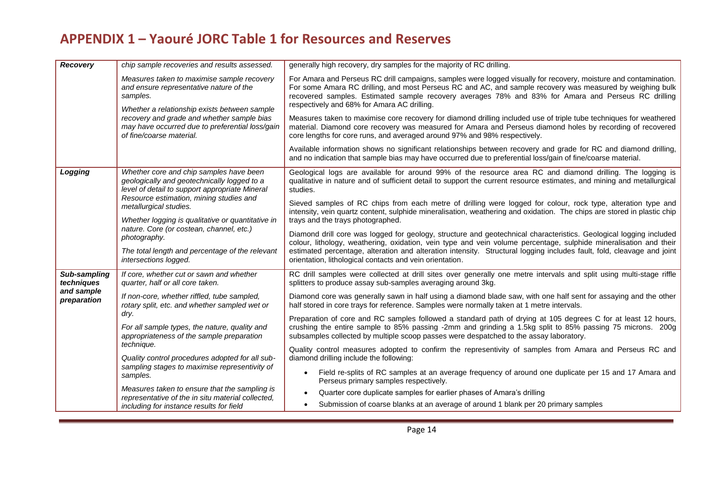| Recovery                   | chip sample recoveries and results assessed.                                                                                                                                       | generally high recovery, dry samples for the majority of RC drilling.                                                                                                                                                                                                                                                                                                               |  |  |
|----------------------------|------------------------------------------------------------------------------------------------------------------------------------------------------------------------------------|-------------------------------------------------------------------------------------------------------------------------------------------------------------------------------------------------------------------------------------------------------------------------------------------------------------------------------------------------------------------------------------|--|--|
|                            | Measures taken to maximise sample recovery<br>and ensure representative nature of the<br>samples.<br>Whether a relationship exists between sample                                  | For Amara and Perseus RC drill campaigns, samples were logged visually for recovery, moisture and contamination.<br>For some Amara RC drilling, and most Perseus RC and AC, and sample recovery was measured by weighing bulk<br>recovered samples. Estimated sample recovery averages 78% and 83% for Amara and Perseus RC drilling<br>respectively and 68% for Amara AC drilling. |  |  |
|                            | recovery and grade and whether sample bias<br>may have occurred due to preferential loss/gain<br>of fine/coarse material.                                                          | Measures taken to maximise core recovery for diamond drilling included use of triple tube techniques for weathered<br>material. Diamond core recovery was measured for Amara and Perseus diamond holes by recording of recovered<br>core lengths for core runs, and averaged around 97% and 98% respectively.                                                                       |  |  |
|                            |                                                                                                                                                                                    | Available information shows no significant relationships between recovery and grade for RC and diamond drilling,<br>and no indication that sample bias may have occurred due to preferential loss/gain of fine/coarse material.                                                                                                                                                     |  |  |
| Logging                    | Whether core and chip samples have been<br>geologically and geotechnically logged to a<br>level of detail to support appropriate Mineral                                           | Geological logs are available for around 99% of the resource area RC and diamond drilling. The logging is<br>qualitative in nature and of sufficient detail to support the current resource estimates, and mining and metallurgical<br>studies.                                                                                                                                     |  |  |
|                            | Resource estimation, mining studies and<br>metallurgical studies.<br>Whether logging is qualitative or quantitative in<br>nature. Core (or costean, channel, etc.)<br>photography. | Sieved samples of RC chips from each metre of drilling were logged for colour, rock type, alteration type and<br>intensity, vein quartz content, sulphide mineralisation, weathering and oxidation. The chips are stored in plastic chip                                                                                                                                            |  |  |
|                            |                                                                                                                                                                                    | trays and the trays photographed.                                                                                                                                                                                                                                                                                                                                                   |  |  |
|                            |                                                                                                                                                                                    | Diamond drill core was logged for geology, structure and geotechnical characteristics. Geological logging included<br>colour, lithology, weathering, oxidation, vein type and vein volume percentage, sulphide mineralisation and their                                                                                                                                             |  |  |
|                            | The total length and percentage of the relevant<br>intersections logged.                                                                                                           | estimated percentage, alteration and alteration intensity. Structural logging includes fault, fold, cleavage and joint<br>orientation, lithological contacts and vein orientation.                                                                                                                                                                                                  |  |  |
| Sub-sampling<br>techniques | If core, whether cut or sawn and whether<br>quarter, half or all core taken.                                                                                                       | RC drill samples were collected at drill sites over generally one metre intervals and split using multi-stage riffle<br>splitters to produce assay sub-samples averaging around 3kg.                                                                                                                                                                                                |  |  |
| and sample<br>preparation  | If non-core, whether riffled, tube sampled,<br>rotary split, etc. and whether sampled wet or                                                                                       | Diamond core was generally sawn in half using a diamond blade saw, with one half sent for assaying and the other<br>half stored in core trays for reference. Samples were normally taken at 1 metre intervals.                                                                                                                                                                      |  |  |
|                            | dry.<br>For all sample types, the nature, quality and<br>appropriateness of the sample preparation                                                                                 | Preparation of core and RC samples followed a standard path of drying at 105 degrees C for at least 12 hours,<br>crushing the entire sample to 85% passing -2mm and grinding a 1.5kg split to 85% passing 75 microns. 200g<br>subsamples collected by multiple scoop passes were despatched to the assay laboratory.                                                                |  |  |
|                            | technique.<br>Quality control procedures adopted for all sub-                                                                                                                      | Quality control measures adopted to confirm the representivity of samples from Amara and Perseus RC and<br>diamond drilling include the following:                                                                                                                                                                                                                                  |  |  |
|                            | sampling stages to maximise representivity of<br>samples.                                                                                                                          | Field re-splits of RC samples at an average frequency of around one duplicate per 15 and 17 Amara and<br>$\bullet$<br>Perseus primary samples respectively.                                                                                                                                                                                                                         |  |  |
|                            | Measures taken to ensure that the sampling is<br>representative of the in situ material collected,                                                                                 | Quarter core duplicate samples for earlier phases of Amara's drilling                                                                                                                                                                                                                                                                                                               |  |  |
|                            | including for instance results for field                                                                                                                                           | Submission of coarse blanks at an average of around 1 blank per 20 primary samples                                                                                                                                                                                                                                                                                                  |  |  |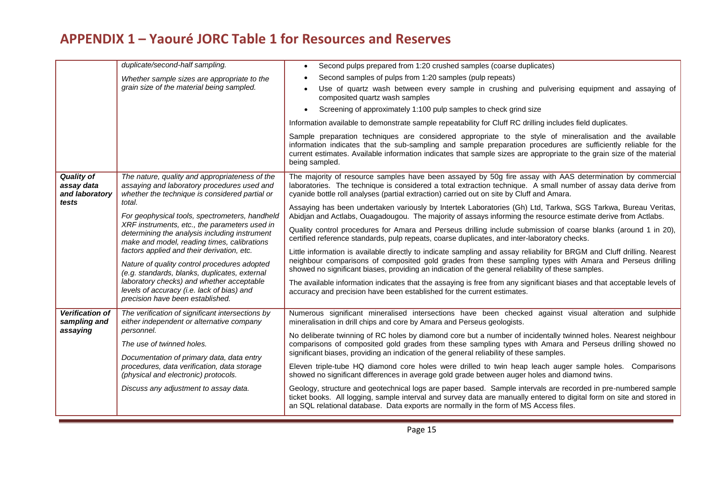|                                                   | duplicate/second-half sampling.                                                                                                                 | Second pulps prepared from 1:20 crushed samples (coarse duplicates)                                                                                                                                                                                                                                                                                                      |
|---------------------------------------------------|-------------------------------------------------------------------------------------------------------------------------------------------------|--------------------------------------------------------------------------------------------------------------------------------------------------------------------------------------------------------------------------------------------------------------------------------------------------------------------------------------------------------------------------|
|                                                   | Whether sample sizes are appropriate to the                                                                                                     | Second samples of pulps from 1:20 samples (pulp repeats)                                                                                                                                                                                                                                                                                                                 |
|                                                   | grain size of the material being sampled.                                                                                                       | Use of quartz wash between every sample in crushing and pulverising equipment and assaying of<br>composited quartz wash samples                                                                                                                                                                                                                                          |
|                                                   |                                                                                                                                                 | Screening of approximately 1:100 pulp samples to check grind size                                                                                                                                                                                                                                                                                                        |
|                                                   |                                                                                                                                                 | Information available to demonstrate sample repeatability for Cluff RC drilling includes field duplicates.                                                                                                                                                                                                                                                               |
|                                                   |                                                                                                                                                 | Sample preparation techniques are considered appropriate to the style of mineralisation and the available<br>information indicates that the sub-sampling and sample preparation procedures are sufficiently reliable for the<br>current estimates. Available information indicates that sample sizes are appropriate to the grain size of the material<br>being sampled. |
| <b>Quality of</b><br>assay data<br>and laboratory | The nature, quality and appropriateness of the<br>assaying and laboratory procedures used and<br>whether the technique is considered partial or | The majority of resource samples have been assayed by 50g fire assay with AAS determination by commercial<br>laboratories. The technique is considered a total extraction technique. A small number of assay data derive from<br>cyanide bottle roll analyses (partial extraction) carried out on site by Cluff and Amara.                                               |
| tests                                             | total.<br>For geophysical tools, spectrometers, handheld                                                                                        | Assaying has been undertaken variously by Intertek Laboratories (Gh) Ltd, Tarkwa, SGS Tarkwa, Bureau Veritas,<br>Abidjan and Actlabs, Ouagadougou. The majority of assays informing the resource estimate derive from Actlabs.                                                                                                                                           |
|                                                   | XRF instruments, etc., the parameters used in<br>determining the analysis including instrument<br>make and model, reading times, calibrations   | Quality control procedures for Amara and Perseus drilling include submission of coarse blanks (around 1 in 20),<br>certified reference standards, pulp repeats, coarse duplicates, and inter-laboratory checks.                                                                                                                                                          |
|                                                   | factors applied and their derivation, etc.<br>Nature of quality control procedures adopted<br>(e.g. standards, blanks, duplicates, external     | Little information is available directly to indicate sampling and assay reliability for BRGM and Cluff drilling. Nearest<br>neighbour comparisons of composited gold grades from these sampling types with Amara and Perseus drilling<br>showed no significant biases, providing an indication of the general reliability of these samples.                              |
|                                                   | laboratory checks) and whether acceptable<br>levels of accuracy (i.e. lack of bias) and<br>precision have been established.                     | The available information indicates that the assaying is free from any significant biases and that acceptable levels of<br>accuracy and precision have been established for the current estimates.                                                                                                                                                                       |
| <b>Verification of</b><br>sampling and            | The verification of significant intersections by<br>either independent or alternative company                                                   | Numerous significant mineralised intersections have been checked against visual alteration and sulphide<br>mineralisation in drill chips and core by Amara and Perseus geologists.                                                                                                                                                                                       |
| assaying                                          | personnel.<br>The use of twinned holes.                                                                                                         | No deliberate twinning of RC holes by diamond core but a number of incidentally twinned holes. Nearest neighbour<br>comparisons of composited gold grades from these sampling types with Amara and Perseus drilling showed no<br>significant biases, providing an indication of the general reliability of these samples.                                                |
|                                                   | Documentation of primary data, data entry<br>procedures, data verification, data storage<br>(physical and electronic) protocols.                | Eleven triple-tube HQ diamond core holes were drilled to twin heap leach auger sample holes. Comparisons<br>showed no significant differences in average gold grade between auger holes and diamond twins.                                                                                                                                                               |
|                                                   | Discuss any adjustment to assay data.                                                                                                           | Geology, structure and geotechnical logs are paper based. Sample intervals are recorded in pre-numbered sample<br>ticket books. All logging, sample interval and survey data are manually entered to digital form on site and stored in<br>an SQL relational database. Data exports are normally in the form of MS Access files.                                         |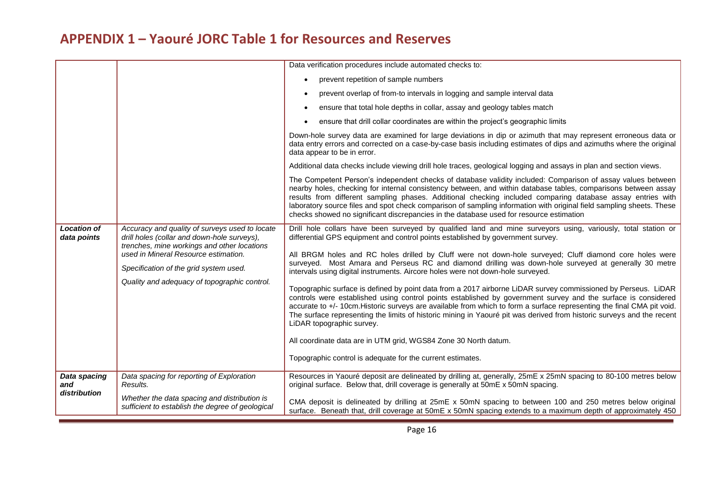| <b>Location of</b><br>data points   | Accuracy and quality of surveys used to locate<br>drill holes (collar and down-hole surveys),<br>trenches, mine workings and other locations<br>used in Mineral Resource estimation.<br>Specification of the grid system used.<br>Quality and adequacy of topographic control. | Data verification procedures include automated checks to:<br>prevent repetition of sample numbers<br>prevent overlap of from-to intervals in logging and sample interval data<br>ensure that total hole depths in collar, assay and geology tables match<br>ensure that drill collar coordinates are within the project's geographic limits<br>Down-hole survey data are examined for large deviations in dip or azimuth that may represent erroneous data or<br>data entry errors and corrected on a case-by-case basis including estimates of dips and azimuths where the original<br>data appear to be in error.<br>Additional data checks include viewing drill hole traces, geological logging and assays in plan and section views.<br>The Competent Person's independent checks of database validity included: Comparison of assay values between<br>nearby holes, checking for internal consistency between, and within database tables, comparisons between assay<br>results from different sampling phases. Additional checking included comparing database assay entries with<br>laboratory source files and spot check comparison of sampling information with original field sampling sheets. These<br>checks showed no significant discrepancies in the database used for resource estimation<br>Drill hole collars have been surveyed by qualified land and mine surveyors using, variously, total station or<br>differential GPS equipment and control points established by government survey.<br>All BRGM holes and RC holes drilled by Cluff were not down-hole surveyed; Cluff diamond core holes were<br>surveyed. Most Amara and Perseus RC and diamond drilling was down-hole surveyed at generally 30 metre<br>intervals using digital instruments. Aircore holes were not down-hole surveyed.<br>Topographic surface is defined by point data from a 2017 airborne LiDAR survey commissioned by Perseus. LiDAR<br>controls were established using control points established by government survey and the surface is considered<br>accurate to +/- 10cm. Historic surveys are available from which to form a surface representing the final CMA pit void.<br>The surface representing the limits of historic mining in Yaouré pit was derived from historic surveys and the recent<br>LiDAR topographic survey.<br>All coordinate data are in UTM grid, WGS84 Zone 30 North datum.<br>Topographic control is adequate for the current estimates. |
|-------------------------------------|--------------------------------------------------------------------------------------------------------------------------------------------------------------------------------------------------------------------------------------------------------------------------------|---------------------------------------------------------------------------------------------------------------------------------------------------------------------------------------------------------------------------------------------------------------------------------------------------------------------------------------------------------------------------------------------------------------------------------------------------------------------------------------------------------------------------------------------------------------------------------------------------------------------------------------------------------------------------------------------------------------------------------------------------------------------------------------------------------------------------------------------------------------------------------------------------------------------------------------------------------------------------------------------------------------------------------------------------------------------------------------------------------------------------------------------------------------------------------------------------------------------------------------------------------------------------------------------------------------------------------------------------------------------------------------------------------------------------------------------------------------------------------------------------------------------------------------------------------------------------------------------------------------------------------------------------------------------------------------------------------------------------------------------------------------------------------------------------------------------------------------------------------------------------------------------------------------------------------------------------------------------------------------------------------------------------------------------------------------------------------------------------------------------------------------------------------------------------------------------------------------------------------------------------------------------------------------------------------------------------------------------------------------------------------------------------------------------------------------------------------------------------|
| Data spacing<br>and<br>distribution | Data spacing for reporting of Exploration<br>Results.                                                                                                                                                                                                                          | Resources in Yaouré deposit are delineated by drilling at, generally, 25mE x 25mN spacing to 80-100 metres below<br>original surface. Below that, drill coverage is generally at 50mE x 50mN spacing.                                                                                                                                                                                                                                                                                                                                                                                                                                                                                                                                                                                                                                                                                                                                                                                                                                                                                                                                                                                                                                                                                                                                                                                                                                                                                                                                                                                                                                                                                                                                                                                                                                                                                                                                                                                                                                                                                                                                                                                                                                                                                                                                                                                                                                                                     |
|                                     | Whether the data spacing and distribution is<br>sufficient to establish the degree of geological                                                                                                                                                                               | CMA deposit is delineated by drilling at 25mE x 50mN spacing to between 100 and 250 metres below original<br>surface. Beneath that, drill coverage at 50mE x 50mN spacing extends to a maximum depth of approximately 450                                                                                                                                                                                                                                                                                                                                                                                                                                                                                                                                                                                                                                                                                                                                                                                                                                                                                                                                                                                                                                                                                                                                                                                                                                                                                                                                                                                                                                                                                                                                                                                                                                                                                                                                                                                                                                                                                                                                                                                                                                                                                                                                                                                                                                                 |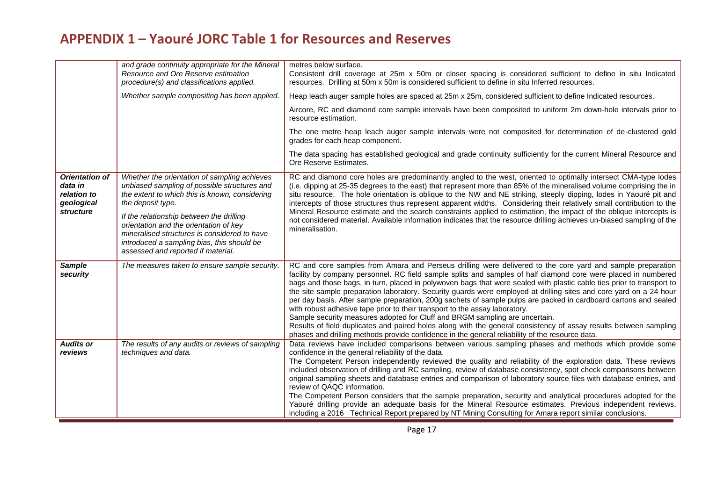|                                                                            | and grade continuity appropriate for the Mineral<br>Resource and Ore Reserve estimation<br>procedure(s) and classifications applied.                                                                                                                                                                                                                                                          | metres below surface.<br>Consistent drill coverage at 25m x 50m or closer spacing is considered sufficient to define in situ Indicated<br>resources. Drilling at 50m x 50m is considered sufficient to define in situ Inferred resources.                                                                                                                                                                                                                                                                                                                                                                                                                                                                                                                                                                                                                                                                                                                                             |
|----------------------------------------------------------------------------|-----------------------------------------------------------------------------------------------------------------------------------------------------------------------------------------------------------------------------------------------------------------------------------------------------------------------------------------------------------------------------------------------|---------------------------------------------------------------------------------------------------------------------------------------------------------------------------------------------------------------------------------------------------------------------------------------------------------------------------------------------------------------------------------------------------------------------------------------------------------------------------------------------------------------------------------------------------------------------------------------------------------------------------------------------------------------------------------------------------------------------------------------------------------------------------------------------------------------------------------------------------------------------------------------------------------------------------------------------------------------------------------------|
|                                                                            | Whether sample compositing has been applied.                                                                                                                                                                                                                                                                                                                                                  | Heap leach auger sample holes are spaced at 25m x 25m, considered sufficient to define Indicated resources.                                                                                                                                                                                                                                                                                                                                                                                                                                                                                                                                                                                                                                                                                                                                                                                                                                                                           |
|                                                                            |                                                                                                                                                                                                                                                                                                                                                                                               | Aircore, RC and diamond core sample intervals have been composited to uniform 2m down-hole intervals prior to<br>resource estimation.                                                                                                                                                                                                                                                                                                                                                                                                                                                                                                                                                                                                                                                                                                                                                                                                                                                 |
|                                                                            |                                                                                                                                                                                                                                                                                                                                                                                               | The one metre heap leach auger sample intervals were not composited for determination of de-clustered gold<br>grades for each heap component.                                                                                                                                                                                                                                                                                                                                                                                                                                                                                                                                                                                                                                                                                                                                                                                                                                         |
|                                                                            |                                                                                                                                                                                                                                                                                                                                                                                               | The data spacing has established geological and grade continuity sufficiently for the current Mineral Resource and<br>Ore Reserve Estimates.                                                                                                                                                                                                                                                                                                                                                                                                                                                                                                                                                                                                                                                                                                                                                                                                                                          |
| <b>Orientation of</b><br>data in<br>relation to<br>geological<br>structure | Whether the orientation of sampling achieves<br>unbiased sampling of possible structures and<br>the extent to which this is known, considering<br>the deposit type.<br>If the relationship between the drilling<br>orientation and the orientation of key<br>mineralised structures is considered to have<br>introduced a sampling bias, this should be<br>assessed and reported if material. | RC and diamond core holes are predominantly angled to the west, oriented to optimally intersect CMA-type lodes<br>(i.e. dipping at 25-35 degrees to the east) that represent more than 85% of the mineralised volume comprising the in<br>situ resource. The hole orientation is oblique to the NW and NE striking, steeply dipping, lodes in Yaouré pit and<br>intercepts of those structures thus represent apparent widths. Considering their relatively small contribution to the<br>Mineral Resource estimate and the search constraints applied to estimation, the impact of the oblique intercepts is<br>not considered material. Available information indicates that the resource drilling achieves un-biased sampling of the<br>mineralisation.                                                                                                                                                                                                                             |
| <b>Sample</b><br>security                                                  | The measures taken to ensure sample security.                                                                                                                                                                                                                                                                                                                                                 | RC and core samples from Amara and Perseus drilling were delivered to the core yard and sample preparation<br>facility by company personnel. RC field sample splits and samples of half diamond core were placed in numbered<br>bags and those bags, in turn, placed in polywoven bags that were sealed with plastic cable ties prior to transport to<br>the site sample preparation laboratory. Security guards were employed at drilling sites and core yard on a 24 hour<br>per day basis. After sample preparation, 200g sachets of sample pulps are packed in cardboard cartons and sealed<br>with robust adhesive tape prior to their transport to the assay laboratory.<br>Sample security measures adopted for Cluff and BRGM sampling are uncertain.<br>Results of field duplicates and paired holes along with the general consistency of assay results between sampling<br>phases and drilling methods provide confidence in the general reliability of the resource data. |
| <b>Audits or</b><br>reviews                                                | The results of any audits or reviews of sampling<br>techniques and data.                                                                                                                                                                                                                                                                                                                      | Data reviews have included comparisons between various sampling phases and methods which provide some<br>confidence in the general reliability of the data.<br>The Competent Person independently reviewed the quality and reliability of the exploration data. These reviews<br>included observation of drilling and RC sampling, review of database consistency, spot check comparisons between<br>original sampling sheets and database entries and comparison of laboratory source files with database entries, and<br>review of QAQC information.<br>The Competent Person considers that the sample preparation, security and analytical procedures adopted for the<br>Yaouré drilling provide an adequate basis for the Mineral Resource estimates. Previous independent reviews,<br>including a 2016 Technical Report prepared by NT Mining Consulting for Amara report similar conclusions.                                                                                   |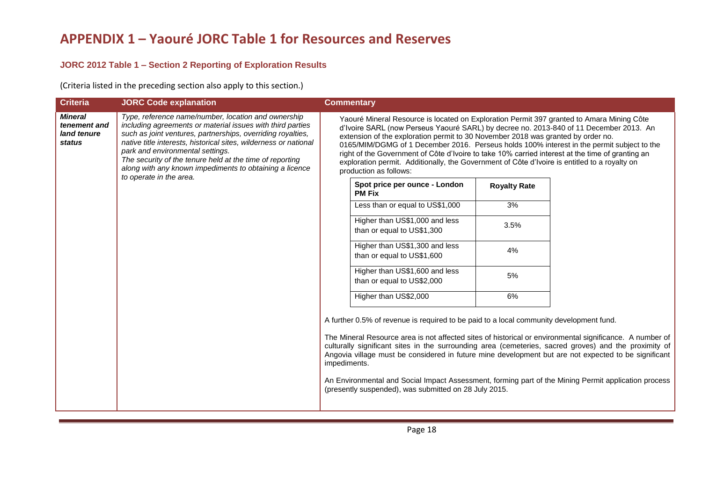## **JORC 2012 Table 1 – Section 2 Reporting of Exploration Results**

(Criteria listed in the preceding section also apply to this section.)

| <b>Criteria</b>                                         | <b>JORC Code explanation</b>                                                                                                                                                                                                                                                                                                                                                                                                               | <b>Commentary</b>                                                                                                                                                                                                                                                                                                                                                                                                                                                                                                                                                                                     |                                                                                                                                                                                                                                                                                                                                                                                                                                                                                                                                                                                                                                                                               |
|---------------------------------------------------------|--------------------------------------------------------------------------------------------------------------------------------------------------------------------------------------------------------------------------------------------------------------------------------------------------------------------------------------------------------------------------------------------------------------------------------------------|-------------------------------------------------------------------------------------------------------------------------------------------------------------------------------------------------------------------------------------------------------------------------------------------------------------------------------------------------------------------------------------------------------------------------------------------------------------------------------------------------------------------------------------------------------------------------------------------------------|-------------------------------------------------------------------------------------------------------------------------------------------------------------------------------------------------------------------------------------------------------------------------------------------------------------------------------------------------------------------------------------------------------------------------------------------------------------------------------------------------------------------------------------------------------------------------------------------------------------------------------------------------------------------------------|
| <b>Mineral</b><br>tenement and<br>land tenure<br>status | Type, reference name/number, location and ownership<br>including agreements or material issues with third parties<br>such as joint ventures, partnerships, overriding royalties,<br>native title interests, historical sites, wilderness or national<br>park and environmental settings.<br>The security of the tenure held at the time of reporting<br>along with any known impediments to obtaining a licence<br>to operate in the area. |                                                                                                                                                                                                                                                                                                                                                                                                                                                                                                                                                                                                       | Yaouré Mineral Resource is located on Exploration Permit 397 granted to Amara Mining Côte<br>d'Ivoire SARL (now Perseus Yaouré SARL) by decree no. 2013-840 of 11 December 2013. An<br>extension of the exploration permit to 30 November 2018 was granted by order no.<br>0165/MIM/DGMG of 1 December 2016. Perseus holds 100% interest in the permit subject to the<br>right of the Government of Côte d'Ivoire to take 10% carried interest at the time of granting an<br>exploration permit. Additionally, the Government of Côte d'Ivoire is entitled to a royalty on<br>production as follows:<br>Spot price per ounce - London<br><b>Royalty Rate</b><br><b>PM Fix</b> |
|                                                         |                                                                                                                                                                                                                                                                                                                                                                                                                                            | Less than or equal to US\$1,000<br>3%                                                                                                                                                                                                                                                                                                                                                                                                                                                                                                                                                                 |                                                                                                                                                                                                                                                                                                                                                                                                                                                                                                                                                                                                                                                                               |
|                                                         |                                                                                                                                                                                                                                                                                                                                                                                                                                            | Higher than US\$1,000 and less<br>3.5%<br>than or equal to US\$1,300                                                                                                                                                                                                                                                                                                                                                                                                                                                                                                                                  |                                                                                                                                                                                                                                                                                                                                                                                                                                                                                                                                                                                                                                                                               |
|                                                         |                                                                                                                                                                                                                                                                                                                                                                                                                                            | Higher than US\$1,300 and less<br>4%<br>than or equal to US\$1,600                                                                                                                                                                                                                                                                                                                                                                                                                                                                                                                                    |                                                                                                                                                                                                                                                                                                                                                                                                                                                                                                                                                                                                                                                                               |
|                                                         |                                                                                                                                                                                                                                                                                                                                                                                                                                            | Higher than US\$1,600 and less<br>5%<br>than or equal to US\$2,000                                                                                                                                                                                                                                                                                                                                                                                                                                                                                                                                    |                                                                                                                                                                                                                                                                                                                                                                                                                                                                                                                                                                                                                                                                               |
|                                                         |                                                                                                                                                                                                                                                                                                                                                                                                                                            | Higher than US\$2,000<br>6%                                                                                                                                                                                                                                                                                                                                                                                                                                                                                                                                                                           |                                                                                                                                                                                                                                                                                                                                                                                                                                                                                                                                                                                                                                                                               |
|                                                         |                                                                                                                                                                                                                                                                                                                                                                                                                                            | A further 0.5% of revenue is required to be paid to a local community development fund.<br>The Mineral Resource area is not affected sites of historical or environmental significance. A number of<br>culturally significant sites in the surrounding area (cemeteries, sacred groves) and the proximity of<br>Angovia village must be considered in future mine development but are not expected to be significant<br>impediments.<br>An Environmental and Social Impact Assessment, forming part of the Mining Permit application process<br>(presently suspended), was submitted on 28 July 2015. |                                                                                                                                                                                                                                                                                                                                                                                                                                                                                                                                                                                                                                                                               |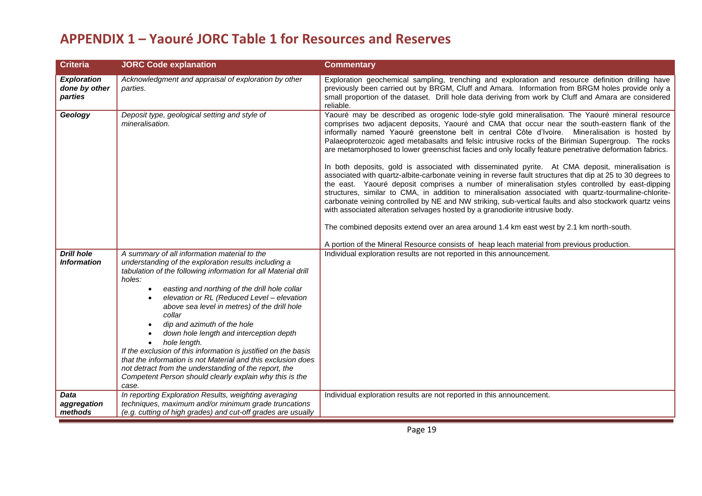| <b>Criteria</b>                                | <b>JORC Code explanation</b>                                                                                                                                                                                                                                                                                                                                                                                                                                                                                                                                                                                                                                                                                                              | <b>Commentary</b>                                                                                                                                                                                                                                                                                                                                                                                                                                                                                                                                                                                                                                                                                                                                                                                                                                                                                                                                                                                                                                                                                                                                                                                                                                                                                                                         |
|------------------------------------------------|-------------------------------------------------------------------------------------------------------------------------------------------------------------------------------------------------------------------------------------------------------------------------------------------------------------------------------------------------------------------------------------------------------------------------------------------------------------------------------------------------------------------------------------------------------------------------------------------------------------------------------------------------------------------------------------------------------------------------------------------|-------------------------------------------------------------------------------------------------------------------------------------------------------------------------------------------------------------------------------------------------------------------------------------------------------------------------------------------------------------------------------------------------------------------------------------------------------------------------------------------------------------------------------------------------------------------------------------------------------------------------------------------------------------------------------------------------------------------------------------------------------------------------------------------------------------------------------------------------------------------------------------------------------------------------------------------------------------------------------------------------------------------------------------------------------------------------------------------------------------------------------------------------------------------------------------------------------------------------------------------------------------------------------------------------------------------------------------------|
| <b>Exploration</b><br>done by other<br>parties | Acknowledgment and appraisal of exploration by other<br>parties.                                                                                                                                                                                                                                                                                                                                                                                                                                                                                                                                                                                                                                                                          | Exploration geochemical sampling, trenching and exploration and resource definition drilling have<br>previously been carried out by BRGM, Cluff and Amara. Information from BRGM holes provide only a<br>small proportion of the dataset. Drill hole data deriving from work by Cluff and Amara are considered<br>reliable.                                                                                                                                                                                                                                                                                                                                                                                                                                                                                                                                                                                                                                                                                                                                                                                                                                                                                                                                                                                                               |
| Geology                                        | Deposit type, geological setting and style of<br>mineralisation.                                                                                                                                                                                                                                                                                                                                                                                                                                                                                                                                                                                                                                                                          | Yaouré may be described as orogenic lode-style gold mineralisation. The Yaouré mineral resource<br>comprises two adjacent deposits, Yaouré and CMA that occur near the south-eastern flank of the<br>informally named Yaouré greenstone belt in central Côte d'Ivoire. Mineralisation is hosted by<br>Palaeoproterozoic aged metabasalts and felsic intrusive rocks of the Birimian Supergroup. The rocks<br>are metamorphosed to lower greenschist facies and only locally feature penetrative deformation fabrics.<br>In both deposits, gold is associated with disseminated pyrite. At CMA deposit, mineralisation is<br>associated with quartz-albite-carbonate veining in reverse fault structures that dip at 25 to 30 degrees to<br>the east. Yaouré deposit comprises a number of mineralisation styles controlled by east-dipping<br>structures, similar to CMA, in addition to mineralisation associated with quartz-tourmaline-chlorite-<br>carbonate veining controlled by NE and NW striking, sub-vertical faults and also stockwork quartz veins<br>with associated alteration selvages hosted by a granodiorite intrusive body.<br>The combined deposits extend over an area around 1.4 km east west by 2.1 km north-south.<br>A portion of the Mineral Resource consists of heap leach material from previous production. |
| <b>Drill hole</b><br><b>Information</b>        | A summary of all information material to the<br>understanding of the exploration results including a<br>tabulation of the following information for all Material drill<br>holes:<br>easting and northing of the drill hole collar<br>$\bullet$<br>elevation or RL (Reduced Level - elevation<br>$\bullet$<br>above sea level in metres) of the drill hole<br>collar<br>dip and azimuth of the hole<br>down hole length and interception depth<br>hole length.<br>$\bullet$<br>If the exclusion of this information is justified on the basis<br>that the information is not Material and this exclusion does<br>not detract from the understanding of the report, the<br>Competent Person should clearly explain why this is the<br>case. | Individual exploration results are not reported in this announcement.                                                                                                                                                                                                                                                                                                                                                                                                                                                                                                                                                                                                                                                                                                                                                                                                                                                                                                                                                                                                                                                                                                                                                                                                                                                                     |
| <b>Data</b><br>aggregation<br>methods          | In reporting Exploration Results, weighting averaging<br>techniques, maximum and/or minimum grade truncations<br>(e.g. cutting of high grades) and cut-off grades are usually                                                                                                                                                                                                                                                                                                                                                                                                                                                                                                                                                             | Individual exploration results are not reported in this announcement.                                                                                                                                                                                                                                                                                                                                                                                                                                                                                                                                                                                                                                                                                                                                                                                                                                                                                                                                                                                                                                                                                                                                                                                                                                                                     |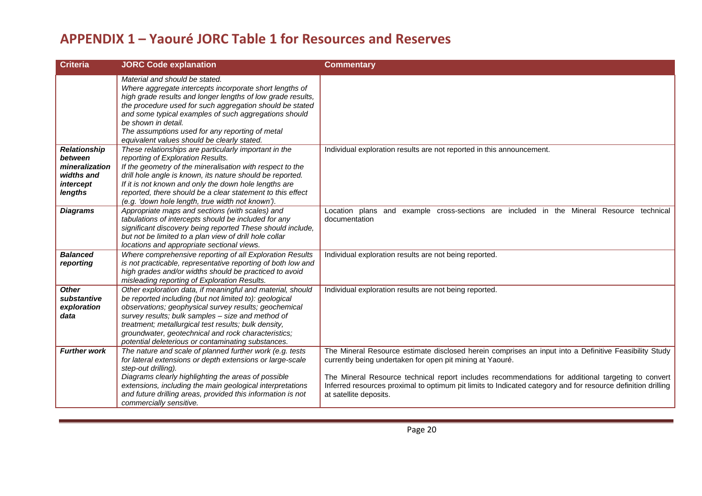| <b>Criteria</b>                                                                        | <b>JORC Code explanation</b>                                                                                                                                                                                                                                                                                                                                                                            | <b>Commentary</b>                                                                                                                                                                                                                                                                                                                                                                                                  |
|----------------------------------------------------------------------------------------|---------------------------------------------------------------------------------------------------------------------------------------------------------------------------------------------------------------------------------------------------------------------------------------------------------------------------------------------------------------------------------------------------------|--------------------------------------------------------------------------------------------------------------------------------------------------------------------------------------------------------------------------------------------------------------------------------------------------------------------------------------------------------------------------------------------------------------------|
|                                                                                        | Material and should be stated.<br>Where aggregate intercepts incorporate short lengths of<br>high grade results and longer lengths of low grade results,<br>the procedure used for such aggregation should be stated<br>and some typical examples of such aggregations should<br>be shown in detail.<br>The assumptions used for any reporting of metal<br>equivalent values should be clearly stated.  |                                                                                                                                                                                                                                                                                                                                                                                                                    |
| <b>Relationship</b><br>between<br>mineralization<br>widths and<br>intercept<br>lengths | These relationships are particularly important in the<br>reporting of Exploration Results.<br>If the geometry of the mineralisation with respect to the<br>drill hole angle is known, its nature should be reported.<br>If it is not known and only the down hole lengths are<br>reported, there should be a clear statement to this effect<br>(e.g. 'down hole length, true width not known').         | Individual exploration results are not reported in this announcement.                                                                                                                                                                                                                                                                                                                                              |
| <b>Diagrams</b>                                                                        | Appropriate maps and sections (with scales) and<br>tabulations of intercepts should be included for any<br>significant discovery being reported These should include,<br>but not be limited to a plan view of drill hole collar<br>locations and appropriate sectional views.                                                                                                                           | Location plans and example cross-sections are included in the Mineral Resource technical<br>documentation                                                                                                                                                                                                                                                                                                          |
| <b>Balanced</b><br>reporting                                                           | Where comprehensive reporting of all Exploration Results<br>is not practicable, representative reporting of both low and<br>high grades and/or widths should be practiced to avoid<br>misleading reporting of Exploration Results.                                                                                                                                                                      | Individual exploration results are not being reported.                                                                                                                                                                                                                                                                                                                                                             |
| <b>Other</b><br>substantive<br>exploration<br>data                                     | Other exploration data, if meaningful and material, should<br>be reported including (but not limited to): geological<br>observations; geophysical survey results; geochemical<br>survey results; bulk samples - size and method of<br>treatment; metallurgical test results; bulk density,<br>groundwater, geotechnical and rock characteristics;<br>potential deleterious or contaminating substances. | Individual exploration results are not being reported.                                                                                                                                                                                                                                                                                                                                                             |
| <b>Further work</b>                                                                    | The nature and scale of planned further work (e.g. tests<br>for lateral extensions or depth extensions or large-scale<br>step-out drilling).<br>Diagrams clearly highlighting the areas of possible<br>extensions, including the main geological interpretations<br>and future drilling areas, provided this information is not<br>commercially sensitive.                                              | The Mineral Resource estimate disclosed herein comprises an input into a Definitive Feasibility Study<br>currently being undertaken for open pit mining at Yaouré.<br>The Mineral Resource technical report includes recommendations for additional targeting to convert<br>Inferred resources proximal to optimum pit limits to Indicated category and for resource definition drilling<br>at satellite deposits. |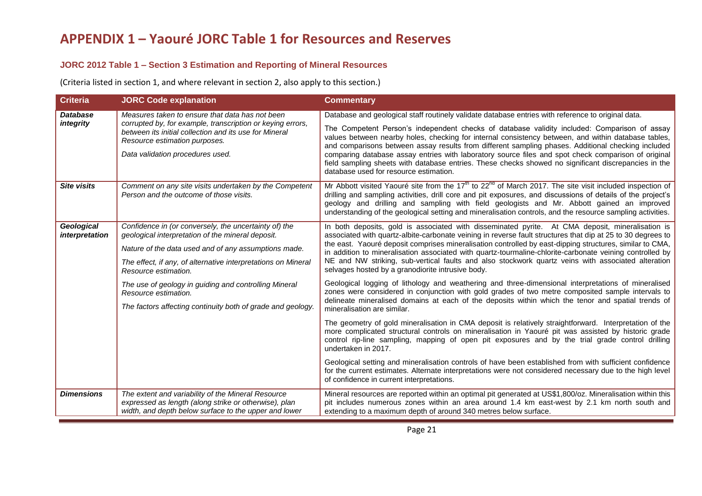## **JORC 2012 Table 1 – Section 3 Estimation and Reporting of Mineral Resources**

(Criteria listed in section 1, and where relevant in section 2, also apply to this section.)

| <b>Criteria</b>                     | <b>JORC Code explanation</b>                                                                                                                                                              | <b>Commentary</b>                                                                                                                                                                                                                                                                                                                                                                                                                                                                                                                                                  |
|-------------------------------------|-------------------------------------------------------------------------------------------------------------------------------------------------------------------------------------------|--------------------------------------------------------------------------------------------------------------------------------------------------------------------------------------------------------------------------------------------------------------------------------------------------------------------------------------------------------------------------------------------------------------------------------------------------------------------------------------------------------------------------------------------------------------------|
| <b>Database</b>                     | Measures taken to ensure that data has not been                                                                                                                                           | Database and geological staff routinely validate database entries with reference to original data.                                                                                                                                                                                                                                                                                                                                                                                                                                                                 |
| integrity                           | corrupted by, for example, transcription or keying errors,<br>between its initial collection and its use for Mineral<br>Resource estimation purposes.<br>Data validation procedures used. | The Competent Person's independent checks of database validity included: Comparison of assay<br>values between nearby holes, checking for internal consistency between, and within database tables,<br>and comparisons between assay results from different sampling phases. Additional checking included<br>comparing database assay entries with laboratory source files and spot check comparison of original<br>field sampling sheets with database entries. These checks showed no significant discrepancies in the<br>database used for resource estimation. |
| <b>Site visits</b>                  | Comment on any site visits undertaken by the Competent<br>Person and the outcome of those visits.                                                                                         | Mr Abbott visited Yaouré site from the $17th$ to 22 <sup>nd</sup> of March 2017. The site visit included inspection of<br>drilling and sampling activities, drill core and pit exposures, and discussions of details of the project's<br>geology and drilling and sampling with field geologists and Mr. Abbott gained an improved<br>understanding of the geological setting and mineralisation controls, and the resource sampling activities.                                                                                                                   |
| <b>Geological</b><br>interpretation | Confidence in (or conversely, the uncertainty of) the<br>geological interpretation of the mineral deposit.                                                                                | In both deposits, gold is associated with disseminated pyrite. At CMA deposit, mineralisation is<br>associated with quartz-albite-carbonate veining in reverse fault structures that dip at 25 to 30 degrees to                                                                                                                                                                                                                                                                                                                                                    |
|                                     | Nature of the data used and of any assumptions made.                                                                                                                                      | the east. Yaouré deposit comprises mineralisation controlled by east-dipping structures, similar to CMA,<br>in addition to mineralisation associated with quartz-tourmaline-chlorite-carbonate veining controlled by                                                                                                                                                                                                                                                                                                                                               |
|                                     | The effect, if any, of alternative interpretations on Mineral<br>Resource estimation.                                                                                                     | NE and NW striking, sub-vertical faults and also stockwork quartz veins with associated alteration<br>selvages hosted by a granodiorite intrusive body.                                                                                                                                                                                                                                                                                                                                                                                                            |
|                                     | The use of geology in guiding and controlling Mineral<br>Resource estimation.                                                                                                             | Geological logging of lithology and weathering and three-dimensional interpretations of mineralised<br>zones were considered in conjunction with gold grades of two metre composited sample intervals to                                                                                                                                                                                                                                                                                                                                                           |
|                                     | The factors affecting continuity both of grade and geology.                                                                                                                               | delineate mineralised domains at each of the deposits within which the tenor and spatial trends of<br>mineralisation are similar.                                                                                                                                                                                                                                                                                                                                                                                                                                  |
|                                     |                                                                                                                                                                                           | The geometry of gold mineralisation in CMA deposit is relatively straightforward. Interpretation of the<br>more complicated structural controls on mineralisation in Yaouré pit was assisted by historic grade<br>control rip-line sampling, mapping of open pit exposures and by the trial grade control drilling<br>undertaken in 2017.                                                                                                                                                                                                                          |
|                                     |                                                                                                                                                                                           | Geological setting and mineralisation controls of have been established from with sufficient confidence<br>for the current estimates. Alternate interpretations were not considered necessary due to the high level<br>of confidence in current interpretations.                                                                                                                                                                                                                                                                                                   |
| <b>Dimensions</b>                   | The extent and variability of the Mineral Resource<br>expressed as length (along strike or otherwise), plan<br>width, and depth below surface to the upper and lower                      | Mineral resources are reported within an optimal pit generated at US\$1,800/oz. Mineralisation within this<br>pit includes numerous zones within an area around 1.4 km east-west by 2.1 km north south and<br>extending to a maximum depth of around 340 metres below surface.                                                                                                                                                                                                                                                                                     |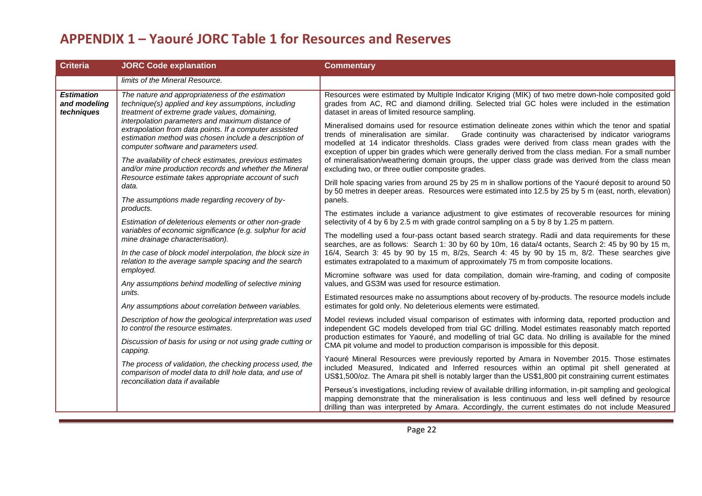| <b>Criteria</b>                                 | <b>JORC Code explanation</b>                                                                                                                                                                                  | <b>Commentary</b>                                                                                                                                                                                                                                                                                                      |
|-------------------------------------------------|---------------------------------------------------------------------------------------------------------------------------------------------------------------------------------------------------------------|------------------------------------------------------------------------------------------------------------------------------------------------------------------------------------------------------------------------------------------------------------------------------------------------------------------------|
|                                                 | limits of the Mineral Resource.                                                                                                                                                                               |                                                                                                                                                                                                                                                                                                                        |
| <b>Estimation</b><br>and modeling<br>techniques | The nature and appropriateness of the estimation<br>technique(s) applied and key assumptions, including<br>treatment of extreme grade values, domaining,                                                      | Resources were estimated by Multiple Indicator Kriging (MIK) of two metre down-hole composited gold<br>grades from AC, RC and diamond drilling. Selected trial GC holes were included in the estimation<br>dataset in areas of limited resource sampling.                                                              |
|                                                 | interpolation parameters and maximum distance of<br>extrapolation from data points. If a computer assisted<br>estimation method was chosen include a description of<br>computer software and parameters used. | Mineralised domains used for resource estimation delineate zones within which the tenor and spatial<br>trends of mineralisation are similar. Grade continuity was characterised by indicator variograms<br>modelled at 14 indicator thresholds. Class grades were derived from class mean grades with the              |
|                                                 | The availability of check estimates, previous estimates<br>and/or mine production records and whether the Mineral                                                                                             | exception of upper bin grades which were generally derived from the class median. For a small number<br>of mineralisation/weathering domain groups, the upper class grade was derived from the class mean<br>excluding two, or three outlier composite grades.                                                         |
|                                                 | Resource estimate takes appropriate account of such<br>data.<br>The assumptions made regarding recovery of by-                                                                                                | Drill hole spacing varies from around 25 by 25 m in shallow portions of the Yaouré deposit to around 50<br>by 50 metres in deeper areas. Resources were estimated into 12.5 by 25 by 5 m (east, north, elevation)<br>panels.                                                                                           |
|                                                 | products.                                                                                                                                                                                                     | The estimates include a variance adjustment to give estimates of recoverable resources for mining                                                                                                                                                                                                                      |
|                                                 | Estimation of deleterious elements or other non-grade                                                                                                                                                         | selectivity of 4 by 6 by 2.5 m with grade control sampling on a 5 by 8 by 1.25 m pattern.                                                                                                                                                                                                                              |
|                                                 | variables of economic significance (e.g. sulphur for acid<br>mine drainage characterisation).                                                                                                                 | The modelling used a four-pass octant based search strategy. Radii and data requirements for these                                                                                                                                                                                                                     |
|                                                 | In the case of block model interpolation, the block size in<br>relation to the average sample spacing and the search                                                                                          | searches, are as follows: Search 1: 30 by 60 by 10m, 16 data/4 octants, Search 2: 45 by 90 by 15 m,<br>16/4, Search 3: 45 by 90 by 15 m, 8/2s, Search 4: 45 by 90 by 15 m, 8/2. These searches give<br>estimates extrapolated to a maximum of approximately 75 m from composite locations.                             |
|                                                 | employed.<br>Any assumptions behind modelling of selective mining                                                                                                                                             | Micromine software was used for data compilation, domain wire-framing, and coding of composite<br>values, and GS3M was used for resource estimation.                                                                                                                                                                   |
|                                                 | units.                                                                                                                                                                                                        | Estimated resources make no assumptions about recovery of by-products. The resource models include                                                                                                                                                                                                                     |
|                                                 | Any assumptions about correlation between variables.                                                                                                                                                          | estimates for gold only. No deleterious elements were estimated.                                                                                                                                                                                                                                                       |
|                                                 | Description of how the geological interpretation was used<br>to control the resource estimates.                                                                                                               | Model reviews included visual comparison of estimates with informing data, reported production and<br>independent GC models developed from trial GC drilling. Model estimates reasonably match reported                                                                                                                |
|                                                 | Discussion of basis for using or not using grade cutting or<br>capping.                                                                                                                                       | production estimates for Yaouré, and modelling of trial GC data. No drilling is available for the mined<br>CMA pit volume and model to production comparison is impossible for this deposit.                                                                                                                           |
|                                                 | The process of validation, the checking process used, the<br>comparison of model data to drill hole data, and use of<br>reconciliation data if available                                                      | Yaouré Mineral Resources were previously reported by Amara in November 2015. Those estimates<br>included Measured, Indicated and Inferred resources within an optimal pit shell generated at<br>US\$1,500/oz. The Amara pit shell is notably larger than the US\$1,800 pit constraining current estimates              |
|                                                 |                                                                                                                                                                                                               | Perseus's investigations, including review of available drilling information, in-pit sampling and geological<br>mapping demonstrate that the mineralisation is less continuous and less well defined by resource<br>drilling than was interpreted by Amara. Accordingly, the current estimates do not include Measured |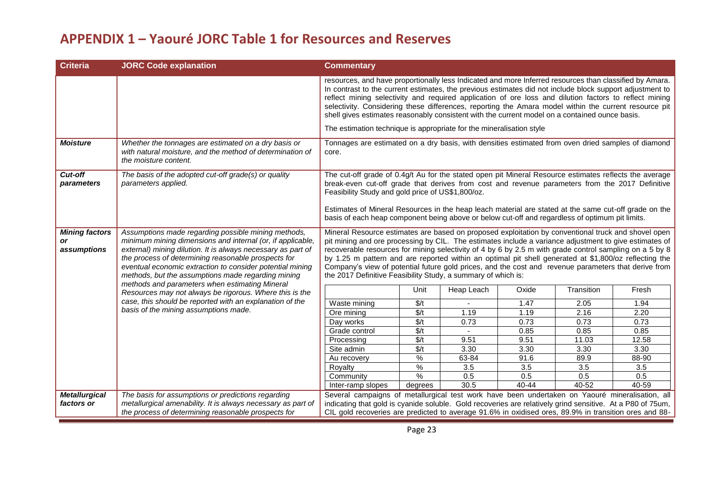| <b>Criteria</b>                            | <b>JORC Code explanation</b>                                                                                                                                                                                                                                                                                                                                | <b>Commentary</b>                                                                                                                                                                                                                                                                                                                                                                                                                                                                                                                                                                                          |                                                                                                    |                  |              |               |                  |  |
|--------------------------------------------|-------------------------------------------------------------------------------------------------------------------------------------------------------------------------------------------------------------------------------------------------------------------------------------------------------------------------------------------------------------|------------------------------------------------------------------------------------------------------------------------------------------------------------------------------------------------------------------------------------------------------------------------------------------------------------------------------------------------------------------------------------------------------------------------------------------------------------------------------------------------------------------------------------------------------------------------------------------------------------|----------------------------------------------------------------------------------------------------|------------------|--------------|---------------|------------------|--|
|                                            |                                                                                                                                                                                                                                                                                                                                                             | resources, and have proportionally less Indicated and more Inferred resources than classified by Amara.<br>In contrast to the current estimates, the previous estimates did not include block support adjustment to<br>reflect mining selectivity and required application of ore loss and dilution factors to reflect mining<br>selectivity. Considering these differences, reporting the Amara model within the current resource pit<br>shell gives estimates reasonably consistent with the current model on a contained ounce basis.                                                                   |                                                                                                    |                  |              |               |                  |  |
|                                            |                                                                                                                                                                                                                                                                                                                                                             | The estimation technique is appropriate for the mineralisation style                                                                                                                                                                                                                                                                                                                                                                                                                                                                                                                                       |                                                                                                    |                  |              |               |                  |  |
| <b>Moisture</b>                            | Whether the tonnages are estimated on a dry basis or<br>with natural moisture, and the method of determination of<br>the moisture content.                                                                                                                                                                                                                  | core.                                                                                                                                                                                                                                                                                                                                                                                                                                                                                                                                                                                                      | Tonnages are estimated on a dry basis, with densities estimated from oven dried samples of diamond |                  |              |               |                  |  |
| Cut-off<br>parameters                      | The basis of the adopted cut-off grade(s) or quality<br>parameters applied.                                                                                                                                                                                                                                                                                 | The cut-off grade of 0.4g/t Au for the stated open pit Mineral Resource estimates reflects the average<br>break-even cut-off grade that derives from cost and revenue parameters from the 2017 Definitive<br>Feasibility Study and gold price of US\$1,800/oz.<br>Estimates of Mineral Resources in the heap leach material are stated at the same cut-off grade on the<br>basis of each heap component being above or below cut-off and regardless of optimum pit limits.                                                                                                                                 |                                                                                                    |                  |              |               |                  |  |
| <b>Mining factors</b><br>or<br>assumptions | Assumptions made regarding possible mining methods,<br>minimum mining dimensions and internal (or, if applicable,<br>external) mining dilution. It is always necessary as part of<br>the process of determining reasonable prospects for<br>eventual economic extraction to consider potential mining<br>methods, but the assumptions made regarding mining | Mineral Resource estimates are based on proposed exploitation by conventional truck and shovel open<br>pit mining and ore processing by CIL. The estimates include a variance adjustment to give estimates of<br>recoverable resources for mining selectivity of 4 by 6 by 2.5 m with grade control sampling on a 5 by 8<br>by 1.25 m pattern and are reported within an optimal pit shell generated at \$1,800/oz reflecting the<br>Company's view of potential future gold prices, and the cost and revenue parameters that derive from<br>the 2017 Definitive Feasibility Study, a summary of which is: |                                                                                                    |                  |              |               |                  |  |
|                                            | methods and parameters when estimating Mineral<br>Resources may not always be rigorous. Where this is the                                                                                                                                                                                                                                                   |                                                                                                                                                                                                                                                                                                                                                                                                                                                                                                                                                                                                            | Unit                                                                                               | Heap Leach       | Oxide        | Transition    | Fresh            |  |
|                                            | case, this should be reported with an explanation of the                                                                                                                                                                                                                                                                                                    | Waste mining                                                                                                                                                                                                                                                                                                                                                                                                                                                                                                                                                                                               | $\sqrt{\frac{2}{t}}$                                                                               |                  | 1.47         | 2.05          | 1.94             |  |
|                                            | basis of the mining assumptions made.                                                                                                                                                                                                                                                                                                                       | Ore mining                                                                                                                                                                                                                                                                                                                                                                                                                                                                                                                                                                                                 | $\sqrt{\frac{2}{t}}$                                                                               | 1.19             | 1.19         | 2.16          | 2.20             |  |
|                                            |                                                                                                                                                                                                                                                                                                                                                             | Day works                                                                                                                                                                                                                                                                                                                                                                                                                                                                                                                                                                                                  | $\sqrt{\frac{2}{t}}$<br>$\sqrt{t}$                                                                 | 0.73             | 0.73         | 0.73          | 0.73             |  |
|                                            |                                                                                                                                                                                                                                                                                                                                                             | Grade control<br>Processing                                                                                                                                                                                                                                                                                                                                                                                                                                                                                                                                                                                | $\sqrt{\frac{2}{t}}$                                                                               | 9.51             | 0.85<br>9.51 | 0.85<br>11.03 | 0.85<br>12.58    |  |
|                                            |                                                                                                                                                                                                                                                                                                                                                             | Site admin                                                                                                                                                                                                                                                                                                                                                                                                                                                                                                                                                                                                 | \$/t                                                                                               | 3.30             | 3.30         | 3.30          | 3.30             |  |
|                                            |                                                                                                                                                                                                                                                                                                                                                             | Au recovery                                                                                                                                                                                                                                                                                                                                                                                                                                                                                                                                                                                                | ℅                                                                                                  | 63-84            | 91.6         | 89.9          | 88-90            |  |
|                                            |                                                                                                                                                                                                                                                                                                                                                             | Royalty                                                                                                                                                                                                                                                                                                                                                                                                                                                                                                                                                                                                    | %                                                                                                  | $\overline{3.5}$ | 3.5          | 3.5           | $\overline{3.5}$ |  |
|                                            |                                                                                                                                                                                                                                                                                                                                                             | Community                                                                                                                                                                                                                                                                                                                                                                                                                                                                                                                                                                                                  | %                                                                                                  | 0.5              | 0.5          | 0.5           | 0.5              |  |
|                                            |                                                                                                                                                                                                                                                                                                                                                             | Inter-ramp slopes                                                                                                                                                                                                                                                                                                                                                                                                                                                                                                                                                                                          | degrees                                                                                            | 30.5             | $40 - 44$    | 40-52         | 40-59            |  |
| <b>Metallurgical</b><br>factors or         | The basis for assumptions or predictions regarding<br>metallurgical amenability. It is always necessary as part of<br>the process of determining reasonable prospects for                                                                                                                                                                                   | Several campaigns of metallurgical test work have been undertaken on Yaouré mineralisation, all<br>indicating that gold is cyanide soluble. Gold recoveries are relatively grind sensitive. At a P80 of 75um,<br>CIL gold recoveries are predicted to average 91.6% in oxidised ores, 89.9% in transition ores and 88-                                                                                                                                                                                                                                                                                     |                                                                                                    |                  |              |               |                  |  |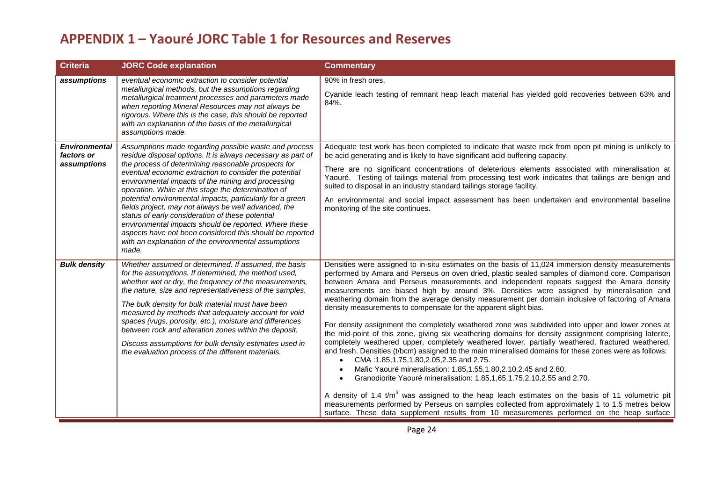| <b>Criteria</b>                            | <b>JORC Code explanation</b>                                                                                                                                                                                                                                                                                                                                                                                                                                                                                                                                                                                                                                                                                      | <b>Commentary</b>                                                                                                                                                                                                                                                                                                                                                                                                                                                                                                                                                                                                                                                                                                                                                                                                                                                                                                                                                                                                                                                                                                                                                                                                                                                                                                                                                                                                                                                                                                                               |
|--------------------------------------------|-------------------------------------------------------------------------------------------------------------------------------------------------------------------------------------------------------------------------------------------------------------------------------------------------------------------------------------------------------------------------------------------------------------------------------------------------------------------------------------------------------------------------------------------------------------------------------------------------------------------------------------------------------------------------------------------------------------------|-------------------------------------------------------------------------------------------------------------------------------------------------------------------------------------------------------------------------------------------------------------------------------------------------------------------------------------------------------------------------------------------------------------------------------------------------------------------------------------------------------------------------------------------------------------------------------------------------------------------------------------------------------------------------------------------------------------------------------------------------------------------------------------------------------------------------------------------------------------------------------------------------------------------------------------------------------------------------------------------------------------------------------------------------------------------------------------------------------------------------------------------------------------------------------------------------------------------------------------------------------------------------------------------------------------------------------------------------------------------------------------------------------------------------------------------------------------------------------------------------------------------------------------------------|
| assumptions                                | eventual economic extraction to consider potential<br>metallurgical methods, but the assumptions regarding<br>metallurgical treatment processes and parameters made<br>when reporting Mineral Resources may not always be<br>rigorous. Where this is the case, this should be reported<br>with an explanation of the basis of the metallurgical<br>assumptions made.                                                                                                                                                                                                                                                                                                                                              | 90% in fresh ores.<br>Cyanide leach testing of remnant heap leach material has yielded gold recoveries between 63% and<br>84%.                                                                                                                                                                                                                                                                                                                                                                                                                                                                                                                                                                                                                                                                                                                                                                                                                                                                                                                                                                                                                                                                                                                                                                                                                                                                                                                                                                                                                  |
| Environmental<br>factors or<br>assumptions | Assumptions made regarding possible waste and process<br>residue disposal options. It is always necessary as part of<br>the process of determining reasonable prospects for<br>eventual economic extraction to consider the potential<br>environmental impacts of the mining and processing<br>operation. While at this stage the determination of<br>potential environmental impacts, particularly for a green<br>fields project, may not always be well advanced, the<br>status of early consideration of these potential<br>environmental impacts should be reported. Where these<br>aspects have not been considered this should be reported<br>with an explanation of the environmental assumptions<br>made. | Adequate test work has been completed to indicate that waste rock from open pit mining is unlikely to<br>be acid generating and is likely to have significant acid buffering capacity.<br>There are no significant concentrations of deleterious elements associated with mineralisation at<br>Yaouré. Testing of tailings material from processing test work indicates that tailings are benign and<br>suited to disposal in an industry standard tailings storage facility.<br>An environmental and social impact assessment has been undertaken and environmental baseline<br>monitoring of the site continues.                                                                                                                                                                                                                                                                                                                                                                                                                                                                                                                                                                                                                                                                                                                                                                                                                                                                                                                              |
| <b>Bulk density</b>                        | Whether assumed or determined. If assumed, the basis<br>for the assumptions. If determined, the method used,<br>whether wet or dry, the frequency of the measurements,<br>the nature, size and representativeness of the samples.<br>The bulk density for bulk material must have been<br>measured by methods that adequately account for void<br>spaces (vugs, porosity, etc.), moisture and differences<br>between rock and alteration zones within the deposit.<br>Discuss assumptions for bulk density estimates used in<br>the evaluation process of the different materials.                                                                                                                                | Densities were assigned to in-situ estimates on the basis of 11,024 immersion density measurements<br>performed by Amara and Perseus on oven dried, plastic sealed samples of diamond core. Comparison<br>between Amara and Perseus measurements and independent repeats suggest the Amara density<br>measurements are biased high by around 3%. Densities were assigned by mineralisation and<br>weathering domain from the average density measurement per domain inclusive of factoring of Amara<br>density measurements to compensate for the apparent slight bias.<br>For density assignment the completely weathered zone was subdivided into upper and lower zones at<br>the mid-point of this zone, giving six weathering domains for density assignment comprising laterite,<br>completely weathered upper, completely weathered lower, partially weathered, fractured weathered,<br>and fresh. Densities (t/bcm) assigned to the main mineralised domains for these zones were as follows:<br>CMA: 1.85, 1.75, 1.80, 2.05, 2.35 and 2.75.<br>$\bullet$<br>Mafic Yaouré mineralisation: 1.85,1.55,1.80,2.10,2.45 and 2.80,<br>$\bullet$<br>Granodiorite Yaouré mineralisation: 1.85,1,65,1.75,2.10,2.55 and 2.70.<br>$\bullet$<br>A density of 1.4 $\tan^3$ was assigned to the heap leach estimates on the basis of 11 volumetric pit<br>measurements performed by Perseus on samples collected from approximately 1 to 1.5 metres below<br>surface. These data supplement results from 10 measurements performed on the heap surface |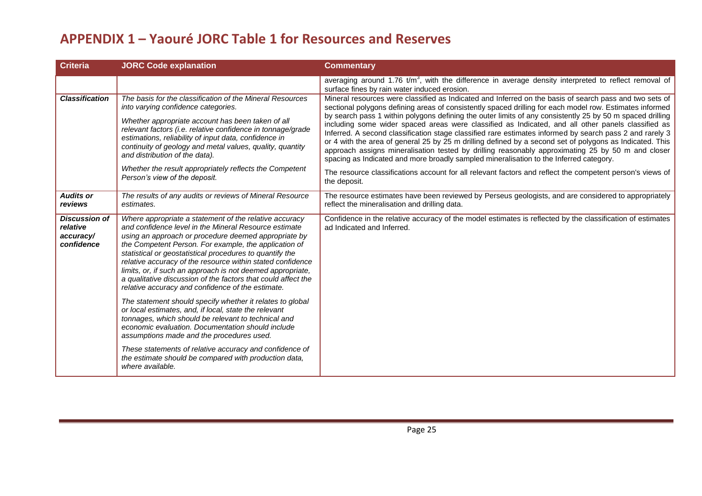| <b>Criteria</b>                                             | <b>JORC Code explanation</b>                                                                                                                                                                                                                                                                                                                                                                                                                                                                                                                   | <b>Commentary</b>                                                                                                                                                                                                                                                                                                                                                                                                                                                                                                                                                                                                                                                                                                                                                                                                                                                                                                                                                                          |
|-------------------------------------------------------------|------------------------------------------------------------------------------------------------------------------------------------------------------------------------------------------------------------------------------------------------------------------------------------------------------------------------------------------------------------------------------------------------------------------------------------------------------------------------------------------------------------------------------------------------|--------------------------------------------------------------------------------------------------------------------------------------------------------------------------------------------------------------------------------------------------------------------------------------------------------------------------------------------------------------------------------------------------------------------------------------------------------------------------------------------------------------------------------------------------------------------------------------------------------------------------------------------------------------------------------------------------------------------------------------------------------------------------------------------------------------------------------------------------------------------------------------------------------------------------------------------------------------------------------------------|
|                                                             |                                                                                                                                                                                                                                                                                                                                                                                                                                                                                                                                                | averaging around 1.76 $t/m3$ , with the difference in average density interpreted to reflect removal of<br>surface fines by rain water induced erosion.                                                                                                                                                                                                                                                                                                                                                                                                                                                                                                                                                                                                                                                                                                                                                                                                                                    |
| <b>Classification</b>                                       | The basis for the classification of the Mineral Resources<br>into varying confidence categories.<br>Whether appropriate account has been taken of all<br>relevant factors (i.e. relative confidence in tonnage/grade<br>estimations, reliability of input data, confidence in<br>continuity of geology and metal values, quality, quantity<br>and distribution of the data).<br>Whether the result appropriately reflects the Competent<br>Person's view of the deposit.                                                                       | Mineral resources were classified as Indicated and Inferred on the basis of search pass and two sets of<br>sectional polygons defining areas of consistently spaced drilling for each model row. Estimates informed<br>by search pass 1 within polygons defining the outer limits of any consistently 25 by 50 m spaced drilling<br>including some wider spaced areas were classified as Indicated, and all other panels classified as<br>Inferred. A second classification stage classified rare estimates informed by search pass 2 and rarely 3<br>or 4 with the area of general 25 by 25 m drilling defined by a second set of polygons as Indicated. This<br>approach assigns mineralisation tested by drilling reasonably approximating 25 by 50 m and closer<br>spacing as Indicated and more broadly sampled mineralisation to the Inferred category.<br>The resource classifications account for all relevant factors and reflect the competent person's views of<br>the deposit. |
| <b>Audits or</b><br>reviews                                 | The results of any audits or reviews of Mineral Resource<br>estimates.                                                                                                                                                                                                                                                                                                                                                                                                                                                                         | The resource estimates have been reviewed by Perseus geologists, and are considered to appropriately<br>reflect the mineralisation and drilling data.                                                                                                                                                                                                                                                                                                                                                                                                                                                                                                                                                                                                                                                                                                                                                                                                                                      |
| <b>Discussion of</b><br>relative<br>accuracy/<br>confidence | Where appropriate a statement of the relative accuracy<br>and confidence level in the Mineral Resource estimate<br>using an approach or procedure deemed appropriate by<br>the Competent Person. For example, the application of<br>statistical or geostatistical procedures to quantify the<br>relative accuracy of the resource within stated confidence<br>limits, or, if such an approach is not deemed appropriate,<br>a qualitative discussion of the factors that could affect the<br>relative accuracy and confidence of the estimate. | Confidence in the relative accuracy of the model estimates is reflected by the classification of estimates<br>ad Indicated and Inferred.                                                                                                                                                                                                                                                                                                                                                                                                                                                                                                                                                                                                                                                                                                                                                                                                                                                   |
|                                                             | The statement should specify whether it relates to global<br>or local estimates, and, if local, state the relevant<br>tonnages, which should be relevant to technical and<br>economic evaluation. Documentation should include<br>assumptions made and the procedures used.                                                                                                                                                                                                                                                                    |                                                                                                                                                                                                                                                                                                                                                                                                                                                                                                                                                                                                                                                                                                                                                                                                                                                                                                                                                                                            |
|                                                             | These statements of relative accuracy and confidence of<br>the estimate should be compared with production data,<br>where available.                                                                                                                                                                                                                                                                                                                                                                                                           |                                                                                                                                                                                                                                                                                                                                                                                                                                                                                                                                                                                                                                                                                                                                                                                                                                                                                                                                                                                            |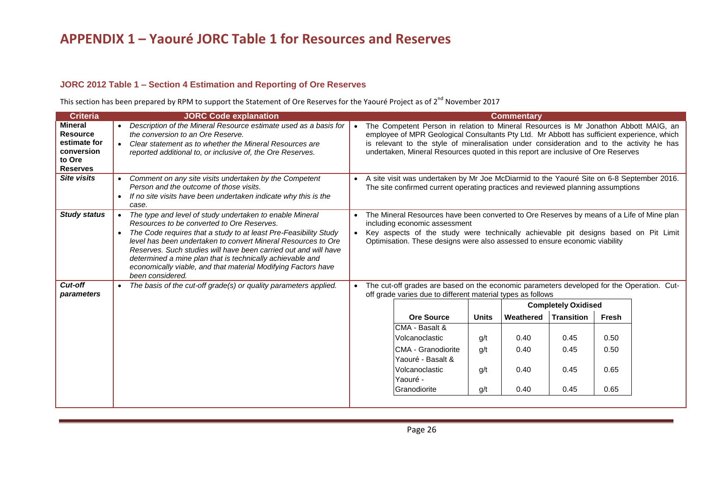## **JORC 2012 Table 1 – Section 4 Estimation and Reporting of Ore Reserves**

This section has been prepared by RPM to support the Statement of Ore Reserves for the Yaouré Project as of 2<sup>nd</sup> November 2017

| <b>Criteria</b>                                                                              | <b>JORC Code explanation</b>                                                                                                                                                                                                                                                                                                                                                                                                                                     |  |                                                                                                                                                                                                                                                                                                                                                                      |              | <b>Commentary</b> |                            |       |  |
|----------------------------------------------------------------------------------------------|------------------------------------------------------------------------------------------------------------------------------------------------------------------------------------------------------------------------------------------------------------------------------------------------------------------------------------------------------------------------------------------------------------------------------------------------------------------|--|----------------------------------------------------------------------------------------------------------------------------------------------------------------------------------------------------------------------------------------------------------------------------------------------------------------------------------------------------------------------|--------------|-------------------|----------------------------|-------|--|
| <b>Mineral</b><br><b>Resource</b><br>estimate for<br>conversion<br>to Ore<br><b>Reserves</b> | Description of the Mineral Resource estimate used as a basis for<br>the conversion to an Ore Reserve.<br>Clear statement as to whether the Mineral Resources are<br>reported additional to, or inclusive of, the Ore Reserves.                                                                                                                                                                                                                                   |  | The Competent Person in relation to Mineral Resources is Mr Jonathon Abbott MAIG, an<br>employee of MPR Geological Consultants Pty Ltd. Mr Abbott has sufficient experience, which<br>is relevant to the style of mineralisation under consideration and to the activity he has<br>undertaken, Mineral Resources quoted in this report are inclusive of Ore Reserves |              |                   |                            |       |  |
| <b>Site visits</b>                                                                           | Comment on any site visits undertaken by the Competent<br>Person and the outcome of those visits.<br>If no site visits have been undertaken indicate why this is the<br>case.                                                                                                                                                                                                                                                                                    |  | A site visit was undertaken by Mr Joe McDiarmid to the Yaouré Site on 6-8 September 2016.<br>The site confirmed current operating practices and reviewed planning assumptions                                                                                                                                                                                        |              |                   |                            |       |  |
| <b>Study status</b>                                                                          | The type and level of study undertaken to enable Mineral<br>Resources to be converted to Ore Reserves.<br>The Code requires that a study to at least Pre-Feasibility Study<br>level has been undertaken to convert Mineral Resources to Ore<br>Reserves. Such studies will have been carried out and will have<br>determined a mine plan that is technically achievable and<br>economically viable, and that material Modifying Factors have<br>been considered. |  | The Mineral Resources have been converted to Ore Reserves by means of a Life of Mine plan<br>including economic assessment<br>Key aspects of the study were technically achievable pit designs based on Pit Limit<br>Optimisation. These designs were also assessed to ensure economic viability                                                                     |              |                   |                            |       |  |
| Cut-off<br>parameters                                                                        | The basis of the cut-off grade(s) or quality parameters applied.                                                                                                                                                                                                                                                                                                                                                                                                 |  | The cut-off grades are based on the economic parameters developed for the Operation. Cut-<br>off grade varies due to different material types as follows                                                                                                                                                                                                             |              |                   |                            |       |  |
|                                                                                              |                                                                                                                                                                                                                                                                                                                                                                                                                                                                  |  |                                                                                                                                                                                                                                                                                                                                                                      |              |                   | <b>Completely Oxidised</b> |       |  |
|                                                                                              |                                                                                                                                                                                                                                                                                                                                                                                                                                                                  |  | <b>Ore Source</b>                                                                                                                                                                                                                                                                                                                                                    | <b>Units</b> | Weathered         | <b>Transition</b>          | Fresh |  |
|                                                                                              |                                                                                                                                                                                                                                                                                                                                                                                                                                                                  |  | CMA - Basalt &<br>Volcanoclastic                                                                                                                                                                                                                                                                                                                                     | g/t          | 0.40              | 0.45                       | 0.50  |  |
|                                                                                              |                                                                                                                                                                                                                                                                                                                                                                                                                                                                  |  | ICMA - Granodiorite<br>Yaouré - Basalt &                                                                                                                                                                                                                                                                                                                             | q/t          | 0.40              | 0.45                       | 0.50  |  |
|                                                                                              |                                                                                                                                                                                                                                                                                                                                                                                                                                                                  |  | Volcanoclastic<br>Yaouré -                                                                                                                                                                                                                                                                                                                                           | g/t          | 0.40              | 0.45                       | 0.65  |  |
|                                                                                              |                                                                                                                                                                                                                                                                                                                                                                                                                                                                  |  | Granodiorite                                                                                                                                                                                                                                                                                                                                                         | g/t          | 0.40              | 0.45                       | 0.65  |  |
|                                                                                              |                                                                                                                                                                                                                                                                                                                                                                                                                                                                  |  |                                                                                                                                                                                                                                                                                                                                                                      |              |                   |                            |       |  |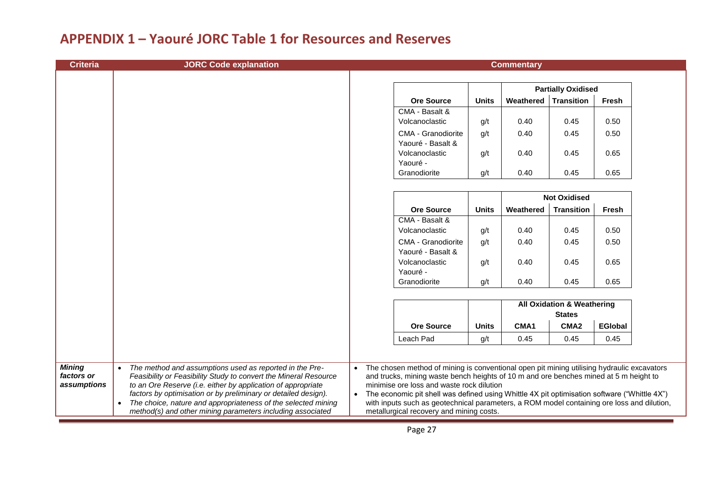| <b>Criteria</b>                     | <b>JORC Code explanation</b>                                                                                                                                                                                                                                                                                                                |                        |                                                                                                                                                                                                                                                                                                                                                                                                                                |              | <b>Commentary</b> |                                                        |                |  |
|-------------------------------------|---------------------------------------------------------------------------------------------------------------------------------------------------------------------------------------------------------------------------------------------------------------------------------------------------------------------------------------------|------------------------|--------------------------------------------------------------------------------------------------------------------------------------------------------------------------------------------------------------------------------------------------------------------------------------------------------------------------------------------------------------------------------------------------------------------------------|--------------|-------------------|--------------------------------------------------------|----------------|--|
|                                     |                                                                                                                                                                                                                                                                                                                                             |                        |                                                                                                                                                                                                                                                                                                                                                                                                                                |              |                   |                                                        |                |  |
|                                     |                                                                                                                                                                                                                                                                                                                                             |                        |                                                                                                                                                                                                                                                                                                                                                                                                                                |              |                   | <b>Partially Oxidised</b>                              |                |  |
|                                     |                                                                                                                                                                                                                                                                                                                                             |                        | <b>Ore Source</b>                                                                                                                                                                                                                                                                                                                                                                                                              | <b>Units</b> | Weathered         | <b>Transition</b>                                      | Fresh          |  |
|                                     |                                                                                                                                                                                                                                                                                                                                             |                        | CMA - Basalt &                                                                                                                                                                                                                                                                                                                                                                                                                 |              |                   |                                                        |                |  |
|                                     |                                                                                                                                                                                                                                                                                                                                             |                        | Volcanoclastic                                                                                                                                                                                                                                                                                                                                                                                                                 | g/t          | 0.40              | 0.45                                                   | 0.50           |  |
|                                     |                                                                                                                                                                                                                                                                                                                                             |                        | CMA - Granodiorite<br>Yaouré - Basalt &                                                                                                                                                                                                                                                                                                                                                                                        | g/t          | 0.40              | 0.45                                                   | 0.50           |  |
|                                     |                                                                                                                                                                                                                                                                                                                                             |                        | Volcanoclastic<br>Yaouré -                                                                                                                                                                                                                                                                                                                                                                                                     | g/t          | 0.40              | 0.45                                                   | 0.65           |  |
|                                     |                                                                                                                                                                                                                                                                                                                                             |                        | Granodiorite                                                                                                                                                                                                                                                                                                                                                                                                                   | g/t          | 0.40              | 0.45                                                   | 0.65           |  |
|                                     |                                                                                                                                                                                                                                                                                                                                             |                        |                                                                                                                                                                                                                                                                                                                                                                                                                                |              |                   |                                                        |                |  |
|                                     |                                                                                                                                                                                                                                                                                                                                             |                        |                                                                                                                                                                                                                                                                                                                                                                                                                                |              |                   | <b>Not Oxidised</b>                                    |                |  |
|                                     |                                                                                                                                                                                                                                                                                                                                             |                        | <b>Ore Source</b>                                                                                                                                                                                                                                                                                                                                                                                                              | <b>Units</b> | Weathered         | <b>Transition</b>                                      | <b>Fresh</b>   |  |
|                                     |                                                                                                                                                                                                                                                                                                                                             |                        | CMA - Basalt &                                                                                                                                                                                                                                                                                                                                                                                                                 |              |                   |                                                        |                |  |
|                                     |                                                                                                                                                                                                                                                                                                                                             |                        | Volcanoclastic                                                                                                                                                                                                                                                                                                                                                                                                                 | g/t          | 0.40              | 0.45                                                   | 0.50           |  |
|                                     |                                                                                                                                                                                                                                                                                                                                             |                        | <b>CMA - Granodiorite</b><br>Yaouré - Basalt &                                                                                                                                                                                                                                                                                                                                                                                 | g/t          | 0.40              | 0.45                                                   | 0.50           |  |
|                                     |                                                                                                                                                                                                                                                                                                                                             |                        | Volcanoclastic<br>Yaouré -                                                                                                                                                                                                                                                                                                                                                                                                     | g/t          | 0.40              | 0.45                                                   | 0.65           |  |
|                                     |                                                                                                                                                                                                                                                                                                                                             |                        | Granodiorite                                                                                                                                                                                                                                                                                                                                                                                                                   | g/t          | 0.40              | 0.45                                                   | 0.65           |  |
|                                     |                                                                                                                                                                                                                                                                                                                                             |                        |                                                                                                                                                                                                                                                                                                                                                                                                                                |              |                   | <b>All Oxidation &amp; Weathering</b><br><b>States</b> |                |  |
|                                     |                                                                                                                                                                                                                                                                                                                                             |                        | <b>Ore Source</b>                                                                                                                                                                                                                                                                                                                                                                                                              | <b>Units</b> | CMA1              | CMA <sub>2</sub>                                       | <b>EGIobal</b> |  |
|                                     |                                                                                                                                                                                                                                                                                                                                             |                        | Leach Pad                                                                                                                                                                                                                                                                                                                                                                                                                      | g/t          | 0.45              | 0.45                                                   | 0.45           |  |
|                                     |                                                                                                                                                                                                                                                                                                                                             |                        |                                                                                                                                                                                                                                                                                                                                                                                                                                |              |                   |                                                        |                |  |
| Mining<br>factors or<br>assumptions | The method and assumptions used as reported in the Pre-<br>$\bullet$<br>Feasibility or Feasibility Study to convert the Mineral Resource<br>to an Ore Reserve (i.e. either by application of appropriate<br>factors by optimisation or by preliminary or detailed design).<br>The choice, nature and appropriateness of the selected mining | $\bullet$<br>$\bullet$ | The chosen method of mining is conventional open pit mining utilising hydraulic excavators<br>and trucks, mining waste bench heights of 10 m and ore benches mined at 5 m height to<br>minimise ore loss and waste rock dilution<br>The economic pit shell was defined using Whittle 4X pit optimisation software ("Whittle 4X")<br>with inputs such as geotechnical parameters, a ROM model containing ore loss and dilution, |              |                   |                                                        |                |  |
|                                     | method(s) and other mining parameters including associated                                                                                                                                                                                                                                                                                  |                        | metallurgical recovery and mining costs.                                                                                                                                                                                                                                                                                                                                                                                       |              |                   |                                                        |                |  |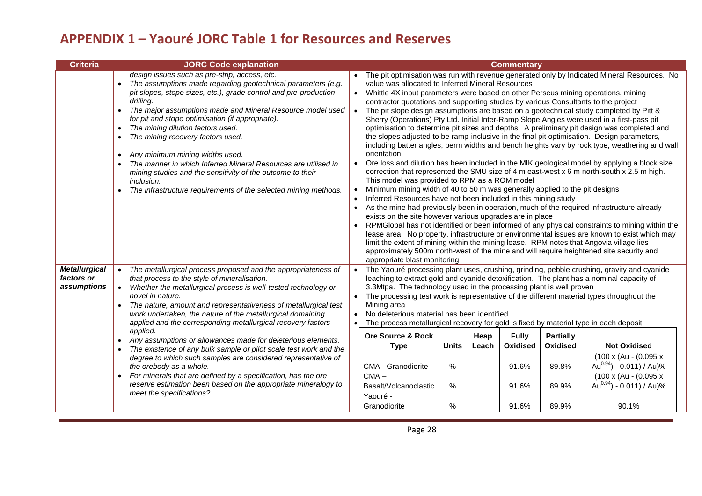| <b>Criteria</b>                                   | <b>JORC Code explanation</b>                                                                                                                                                                                                                                                                                                                                                                                                                                                                                                                                                                                                                                                                                                                                                                                                               |                                                                                                                                                                                                                                                                                                                                                                                                                                                                                                                                                                                                                                      |                                |               | <b>Commentary</b>                                   |                                                         |                                                                                                                                                                                                                                                                                                                                                                                                                                                                                                                                                                                                                                                                                                                                                                                                                                                                                                                                                                                                                                                                                                                                                                         |
|---------------------------------------------------|--------------------------------------------------------------------------------------------------------------------------------------------------------------------------------------------------------------------------------------------------------------------------------------------------------------------------------------------------------------------------------------------------------------------------------------------------------------------------------------------------------------------------------------------------------------------------------------------------------------------------------------------------------------------------------------------------------------------------------------------------------------------------------------------------------------------------------------------|--------------------------------------------------------------------------------------------------------------------------------------------------------------------------------------------------------------------------------------------------------------------------------------------------------------------------------------------------------------------------------------------------------------------------------------------------------------------------------------------------------------------------------------------------------------------------------------------------------------------------------------|--------------------------------|---------------|-----------------------------------------------------|---------------------------------------------------------|-------------------------------------------------------------------------------------------------------------------------------------------------------------------------------------------------------------------------------------------------------------------------------------------------------------------------------------------------------------------------------------------------------------------------------------------------------------------------------------------------------------------------------------------------------------------------------------------------------------------------------------------------------------------------------------------------------------------------------------------------------------------------------------------------------------------------------------------------------------------------------------------------------------------------------------------------------------------------------------------------------------------------------------------------------------------------------------------------------------------------------------------------------------------------|
|                                                   | design issues such as pre-strip, access, etc.<br>The assumptions made regarding geotechnical parameters (e.g.<br>pit slopes, stope sizes, etc.), grade control and pre-production<br>drillina.<br>The major assumptions made and Mineral Resource model used<br>$\bullet$<br>for pit and stope optimisation (if appropriate).<br>The mining dilution factors used.<br>$\bullet$<br>The mining recovery factors used.<br>$\bullet$<br>Any minimum mining widths used.<br>$\bullet$<br>The manner in which Inferred Mineral Resources are utilised in<br>$\bullet$<br>mining studies and the sensitivity of the outcome to their<br>inclusion.<br>The infrastructure requirements of the selected mining methods.<br>$\bullet$                                                                                                               | value was allocated to Inferred Mineral Resources<br>Whittle 4X input parameters were based on other Perseus mining operations, mining<br>contractor quotations and supporting studies by various Consultants to the project<br>orientation<br>This model was provided to RPM as a ROM model<br>Minimum mining width of 40 to 50 m was generally applied to the pit designs<br>Inferred Resources have not been included in this mining study<br>exists on the site however various upgrades are in place<br>limit the extent of mining within the mining lease. RPM notes that Angovia village lies<br>appropriate blast monitoring |                                |               |                                                     |                                                         | The pit optimisation was run with revenue generated only by Indicated Mineral Resources. No<br>The pit slope design assumptions are based on a geotechnical study completed by Pitt &<br>Sherry (Operations) Pty Ltd. Initial Inter-Ramp Slope Angles were used in a first-pass pit<br>optimisation to determine pit sizes and depths. A preliminary pit design was completed and<br>the slopes adjusted to be ramp-inclusive in the final pit optimisation. Design parameters,<br>including batter angles, berm widths and bench heights vary by rock type, weathering and wall<br>Ore loss and dilution has been included in the MIK geological model by applying a block size<br>correction that represented the SMU size of 4 m east-west x 6 m north-south x 2.5 m high.<br>As the mine had previously been in operation, much of the required infrastructure already<br>RPMGlobal has not identified or been informed of any physical constraints to mining within the<br>lease area. No property, infrastructure or environmental issues are known to exist which may<br>approximately 500m north-west of the mine and will require heightened site security and |
| <b>Metallurgical</b><br>factors or<br>assumptions | The metallurgical process proposed and the appropriateness of<br>that process to the style of mineralisation.<br>Whether the metallurgical process is well-tested technology or<br>novel in nature.<br>The nature, amount and representativeness of metallurgical test<br>work undertaken, the nature of the metallurgical domaining<br>applied and the corresponding metallurgical recovery factors<br>applied.<br>Any assumptions or allowances made for deleterious elements.<br>$\bullet$<br>The existence of any bulk sample or pilot scale test work and the<br>degree to which such samples are considered representative of<br>the orebody as a whole.<br>For minerals that are defined by a specification, has the ore<br>$\bullet$<br>reserve estimation been based on the appropriate mineralogy to<br>meet the specifications? | 3.3Mtpa. The technology used in the processing plant is well proven<br>The processing test work is representative of the different material types throughout the<br>Mining area<br>No deleterious material has been identified<br>The process metallurgical recovery for gold is fixed by material type in each deposit<br><b>Ore Source &amp; Rock</b><br><b>Type</b><br>CMA - Granodiorite<br>$CMA -$<br>Basalt/Volcanoclastic<br>Yaouré -<br>Granodiorite                                                                                                                                                                         | <b>Units</b><br>%<br>%<br>$\%$ | Heap<br>Leach | <b>Fully</b><br>Oxidised<br>91.6%<br>91.6%<br>91.6% | <b>Partially</b><br>Oxidised<br>89.8%<br>89.9%<br>89.9% | The Yaouré processing plant uses, crushing, grinding, pebble crushing, gravity and cyanide<br>leaching to extract gold and cyanide detoxification. The plant has a nominal capacity of<br><b>Not Oxidised</b><br>$(100 \times (Au - (0.095 x$<br>Au $^{0.94}$ ) - 0.011) / Au)%<br>$(100 \times (Au - (0.095 x$<br>Au $^{0.94}$ ) - 0.011) / Au)%<br>90.1%                                                                                                                                                                                                                                                                                                                                                                                                                                                                                                                                                                                                                                                                                                                                                                                                              |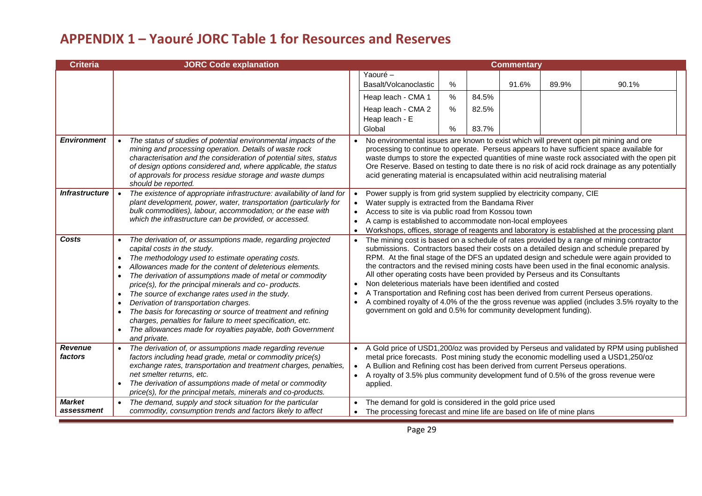| Criteria                    | <b>JORC Code explanation</b>                                                                                                                                                                                                                                                                                                                                                                                                                                                                                                                                                                                                                                                                   |                                     |                                                                                                                                                                                                                                                                                                     |                      |                | <b>Commentary</b> |       |                                                                                                                                                                                                                                                                                                                                                                                                                                                                                  |
|-----------------------------|------------------------------------------------------------------------------------------------------------------------------------------------------------------------------------------------------------------------------------------------------------------------------------------------------------------------------------------------------------------------------------------------------------------------------------------------------------------------------------------------------------------------------------------------------------------------------------------------------------------------------------------------------------------------------------------------|-------------------------------------|-----------------------------------------------------------------------------------------------------------------------------------------------------------------------------------------------------------------------------------------------------------------------------------------------------|----------------------|----------------|-------------------|-------|----------------------------------------------------------------------------------------------------------------------------------------------------------------------------------------------------------------------------------------------------------------------------------------------------------------------------------------------------------------------------------------------------------------------------------------------------------------------------------|
|                             |                                                                                                                                                                                                                                                                                                                                                                                                                                                                                                                                                                                                                                                                                                |                                     | Yaouré -<br>Basalt/Volcanoclastic<br>Heap leach - CMA 1<br>Heap leach - CMA 2                                                                                                                                                                                                                       | $\%$<br>$\%$<br>$\%$ | 84.5%<br>82.5% | 91.6%             | 89.9% | 90.1%                                                                                                                                                                                                                                                                                                                                                                                                                                                                            |
|                             |                                                                                                                                                                                                                                                                                                                                                                                                                                                                                                                                                                                                                                                                                                |                                     | Heap leach - E<br>Global                                                                                                                                                                                                                                                                            | $\%$                 | 83.7%          |                   |       |                                                                                                                                                                                                                                                                                                                                                                                                                                                                                  |
| <b>Environment</b>          | The status of studies of potential environmental impacts of the<br>mining and processing operation. Details of waste rock<br>characterisation and the consideration of potential sites, status<br>of design options considered and, where applicable, the status<br>of approvals for process residue storage and waste dumps<br>should be reported.                                                                                                                                                                                                                                                                                                                                            |                                     | No environmental issues are known to exist which will prevent open pit mining and ore<br>acid generating material is encapsulated within acid neutralising material                                                                                                                                 |                      |                |                   |       | processing to continue to operate. Perseus appears to have sufficient space available for<br>waste dumps to store the expected quantities of mine waste rock associated with the open pit<br>Ore Reserve. Based on testing to date there is no risk of acid rock drainage as any potentially                                                                                                                                                                                     |
| <b>Infrastructure</b>       | The existence of appropriate infrastructure: availability of land for<br>plant development, power, water, transportation (particularly for<br>bulk commodities), labour, accommodation; or the ease with<br>which the infrastructure can be provided, or accessed.                                                                                                                                                                                                                                                                                                                                                                                                                             | $\bullet$<br>$\bullet$<br>$\bullet$ | Power supply is from grid system supplied by electricity company, CIE<br>Water supply is extracted from the Bandama River<br>Access to site is via public road from Kossou town<br>A camp is established to accommodate non-local employees                                                         |                      |                |                   |       | Workshops, offices, storage of reagents and laboratory is established at the processing plant                                                                                                                                                                                                                                                                                                                                                                                    |
| Costs                       | The derivation of, or assumptions made, regarding projected<br>capital costs in the study.<br>The methodology used to estimate operating costs.<br>$\bullet$<br>Allowances made for the content of deleterious elements.<br>The derivation of assumptions made of metal or commodity<br>price(s), for the principal minerals and co- products.<br>The source of exchange rates used in the study.<br>$\bullet$<br>Derivation of transportation charges.<br>$\bullet$<br>The basis for forecasting or source of treatment and refining<br>$\bullet$<br>charges, penalties for failure to meet specification, etc.<br>The allowances made for royalties payable, both Government<br>and private. | $\bullet$<br>$\bullet$              | All other operating costs have been provided by Perseus and its Consultants<br>Non deleterious materials have been identified and costed<br>A Transportation and Refining cost has been derived from current Perseus operations.<br>government on gold and 0.5% for community development funding). |                      |                |                   |       | The mining cost is based on a schedule of rates provided by a range of mining contractor<br>submissions. Contractors based their costs on a detailed design and schedule prepared by<br>RPM. At the final stage of the DFS an updated design and schedule were again provided to<br>the contractors and the revised mining costs have been used in the final economic analysis.<br>A combined royalty of 4.0% of the the gross revenue was applied (includes 3.5% royalty to the |
| <b>Revenue</b><br>factors   | The derivation of, or assumptions made regarding revenue<br>factors including head grade, metal or commodity price(s)<br>exchange rates, transportation and treatment charges, penalties,<br>net smelter returns, etc.<br>The derivation of assumptions made of metal or commodity<br>price(s), for the principal metals, minerals and co-products.                                                                                                                                                                                                                                                                                                                                            | $\bullet$                           | metal price forecasts. Post mining study the economic modelling used a USD1,250/oz<br>A Bullion and Refining cost has been derived from current Perseus operations.<br>A royalty of 3.5% plus community development fund of 0.5% of the gross revenue were<br>applied.                              |                      |                |                   |       | A Gold price of USD1,200/oz was provided by Perseus and validated by RPM using published                                                                                                                                                                                                                                                                                                                                                                                         |
| <b>Market</b><br>assessment | The demand, supply and stock situation for the particular<br>commodity, consumption trends and factors likely to affect                                                                                                                                                                                                                                                                                                                                                                                                                                                                                                                                                                        |                                     | The demand for gold is considered in the gold price used<br>The processing forecast and mine life are based on life of mine plans                                                                                                                                                                   |                      |                |                   |       |                                                                                                                                                                                                                                                                                                                                                                                                                                                                                  |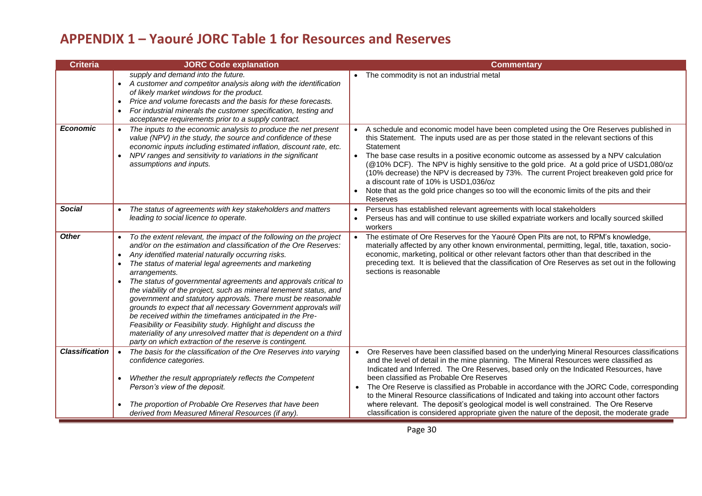| Criteria              | <b>JORC Code explanation</b>                                                                                                                                                                                                                                                                                                                                                                                                                                                                                                                                                                                                                                                                                                                                                                                               | <b>Commentary</b>                                                                                                                                                                                                                                                                                                                                                                                                                                                                                                                                                                                                                                                                                                |
|-----------------------|----------------------------------------------------------------------------------------------------------------------------------------------------------------------------------------------------------------------------------------------------------------------------------------------------------------------------------------------------------------------------------------------------------------------------------------------------------------------------------------------------------------------------------------------------------------------------------------------------------------------------------------------------------------------------------------------------------------------------------------------------------------------------------------------------------------------------|------------------------------------------------------------------------------------------------------------------------------------------------------------------------------------------------------------------------------------------------------------------------------------------------------------------------------------------------------------------------------------------------------------------------------------------------------------------------------------------------------------------------------------------------------------------------------------------------------------------------------------------------------------------------------------------------------------------|
|                       | supply and demand into the future.<br>• A customer and competitor analysis along with the identification<br>of likely market windows for the product.<br>Price and volume forecasts and the basis for these forecasts.<br>$\bullet$<br>For industrial minerals the customer specification, testing and<br>$\bullet$<br>acceptance requirements prior to a supply contract.                                                                                                                                                                                                                                                                                                                                                                                                                                                 | The commodity is not an industrial metal                                                                                                                                                                                                                                                                                                                                                                                                                                                                                                                                                                                                                                                                         |
| <b>Economic</b>       | The inputs to the economic analysis to produce the net present<br>value (NPV) in the study, the source and confidence of these<br>economic inputs including estimated inflation, discount rate, etc.<br>NPV ranges and sensitivity to variations in the significant<br>assumptions and inputs.                                                                                                                                                                                                                                                                                                                                                                                                                                                                                                                             | A schedule and economic model have been completed using the Ore Reserves published in<br>this Statement. The inputs used are as per those stated in the relevant sections of this<br>Statement<br>The base case results in a positive economic outcome as assessed by a NPV calculation<br>(@10% DCF). The NPV is highly sensitive to the gold price. At a gold price of USD1,080/oz<br>(10% decrease) the NPV is decreased by 73%. The current Project breakeven gold price for<br>a discount rate of 10% is USD1,036/oz<br>Note that as the gold price changes so too will the economic limits of the pits and their<br>Reserves                                                                               |
| <b>Social</b>         | The status of agreements with key stakeholders and matters<br>leading to social licence to operate.                                                                                                                                                                                                                                                                                                                                                                                                                                                                                                                                                                                                                                                                                                                        | Perseus has established relevant agreements with local stakeholders<br>Perseus has and will continue to use skilled expatriate workers and locally sourced skilled<br>workers                                                                                                                                                                                                                                                                                                                                                                                                                                                                                                                                    |
| <b>Other</b>          | To the extent relevant, the impact of the following on the project<br>and/or on the estimation and classification of the Ore Reserves:<br>Any identified material naturally occurring risks.<br>$\bullet$<br>The status of material legal agreements and marketing<br>arrangements.<br>The status of governmental agreements and approvals critical to<br>the viability of the project, such as mineral tenement status, and<br>government and statutory approvals. There must be reasonable<br>grounds to expect that all necessary Government approvals will<br>be received within the timeframes anticipated in the Pre-<br>Feasibility or Feasibility study. Highlight and discuss the<br>materiality of any unresolved matter that is dependent on a third<br>party on which extraction of the reserve is contingent. | The estimate of Ore Reserves for the Yaouré Open Pits are not, to RPM's knowledge,<br>materially affected by any other known environmental, permitting, legal, title, taxation, socio-<br>economic, marketing, political or other relevant factors other than that described in the<br>preceding text. It is believed that the classification of Ore Reserves as set out in the following<br>sections is reasonable                                                                                                                                                                                                                                                                                              |
| <b>Classification</b> | The basis for the classification of the Ore Reserves into varying<br>confidence categories.<br>Whether the result appropriately reflects the Competent<br>Person's view of the deposit.<br>The proportion of Probable Ore Reserves that have been<br>derived from Measured Mineral Resources (if any).                                                                                                                                                                                                                                                                                                                                                                                                                                                                                                                     | • Ore Reserves have been classified based on the underlying Mineral Resources classifications<br>and the level of detail in the mine planning. The Mineral Resources were classified as<br>Indicated and Inferred. The Ore Reserves, based only on the Indicated Resources, have<br>been classified as Probable Ore Reserves<br>• The Ore Reserve is classified as Probable in accordance with the JORC Code, corresponding<br>to the Mineral Resource classifications of Indicated and taking into account other factors<br>where relevant. The deposit's geological model is well constrained. The Ore Reserve<br>classification is considered appropriate given the nature of the deposit, the moderate grade |